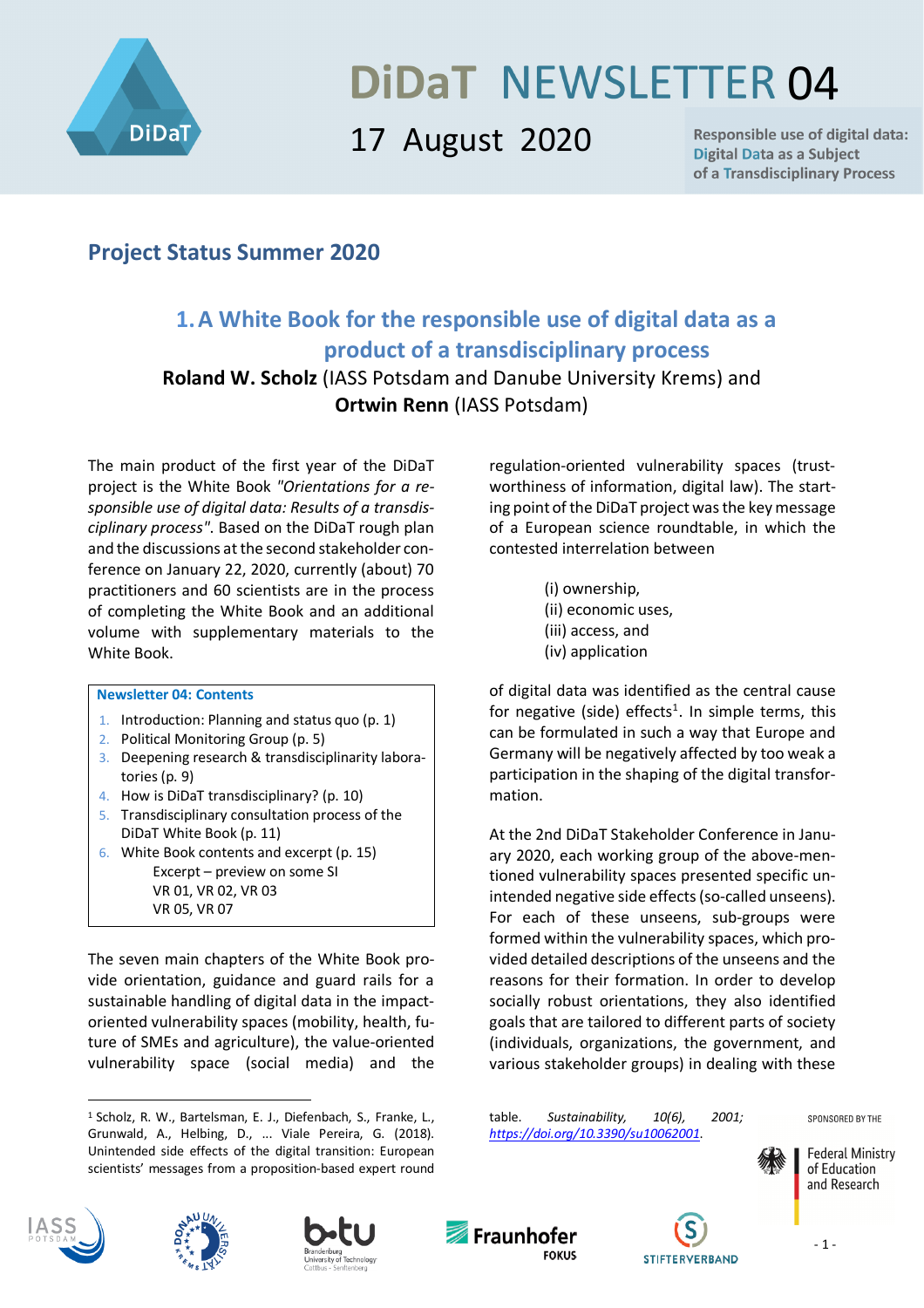

# **DIDAT NEWSLETTER 04**

## 17 August 2020

**Responsible use of digital data: Digital Data as a Subject** of a Transdisciplinary Process

## **Project Status Summer 2020**

## **1.A White Book for the responsible use of digital data as a product of a transdisciplinary process**

#### **Roland W. Scholz** (IASS Potsdam and Danube University Krems) and **Ortwin Renn** (IASS Potsdam)

The main product of the first year of the DiDaT project is the White Book *"Orientations for a responsible use of digital data: Results of a transdisciplinary process"*. Based on the DiDaT rough plan and the discussions at the second stakeholder conference on January 22, 2020, currently (about) 70 practitioners and 60 scientists are in the process of completing the White Book and an additional volume with supplementary materials to the White Book.

#### **Newsletter 04: Contents**

- 1. Introduction: Planning and status quo (p. 1)
- 2. Political Monitoring Group (p. 5)
- 3. Deepening research & transdisciplinarity laboratories (p. 9)
- 4. How is DiDaT transdisciplinary? (p. 10)
- 5. Transdisciplinary consultation process of the DiDaT White Book (p. 11)
- 6. White Book contents and excerpt (p. 15) Excerpt – preview on some SI VR 01, VR 02, VR 03 VR 05, VR 07

The seven main chapters of the White Book provide orientation, guidance and guard rails for a sustainable handling of digital data in the impactoriented vulnerability spaces (mobility, health, future of SMEs and agriculture), the value-oriented vulnerability space (social media) and the

regulation-oriented vulnerability spaces (trustworthiness of information, digital law). The starting point of the DiDaT project was the key message of a European science roundtable, in which the contested interrelation between

- (i) ownership,
- (ii) economic uses,
- (iii) access, and
- (iv) application

of digital data was identified as the central cause for negative (side) effects<sup>1</sup>. In simple terms, this can be formulated in such a way that Europe and Germany will be negatively affected by too weak a participation in the shaping of the digital transformation.

At the 2nd DiDaT Stakeholder Conference in January 2020, each working group of the above-mentioned vulnerability spaces presented specific unintended negative side effects (so-called unseens). For each of these unseens, sub-groups were formed within the vulnerability spaces, which provided detailed descriptions of the unseens and the reasons for their formation. In order to develop socially robust orientations, they also identified goals that are tailored to different parts of society (individuals, organizations, the government, and various stakeholder groups) in dealing with these

table. *Sustainability, 10(6), 2001; https://doi.org/10.3390/su10062001*.

SPONSORED BY THE





 $\overline{a}$ 







**STIFTERVERBAND** 

<sup>&</sup>lt;sup>1</sup> Scholz, R. W., Bartelsman, E. J., Diefenbach, S., Franke, L., Grunwald, A., Helbing, D., ... Viale Pereira, G. (2018). Unintended side effects of the digital transition: European scientists' messages from a proposition-based expert round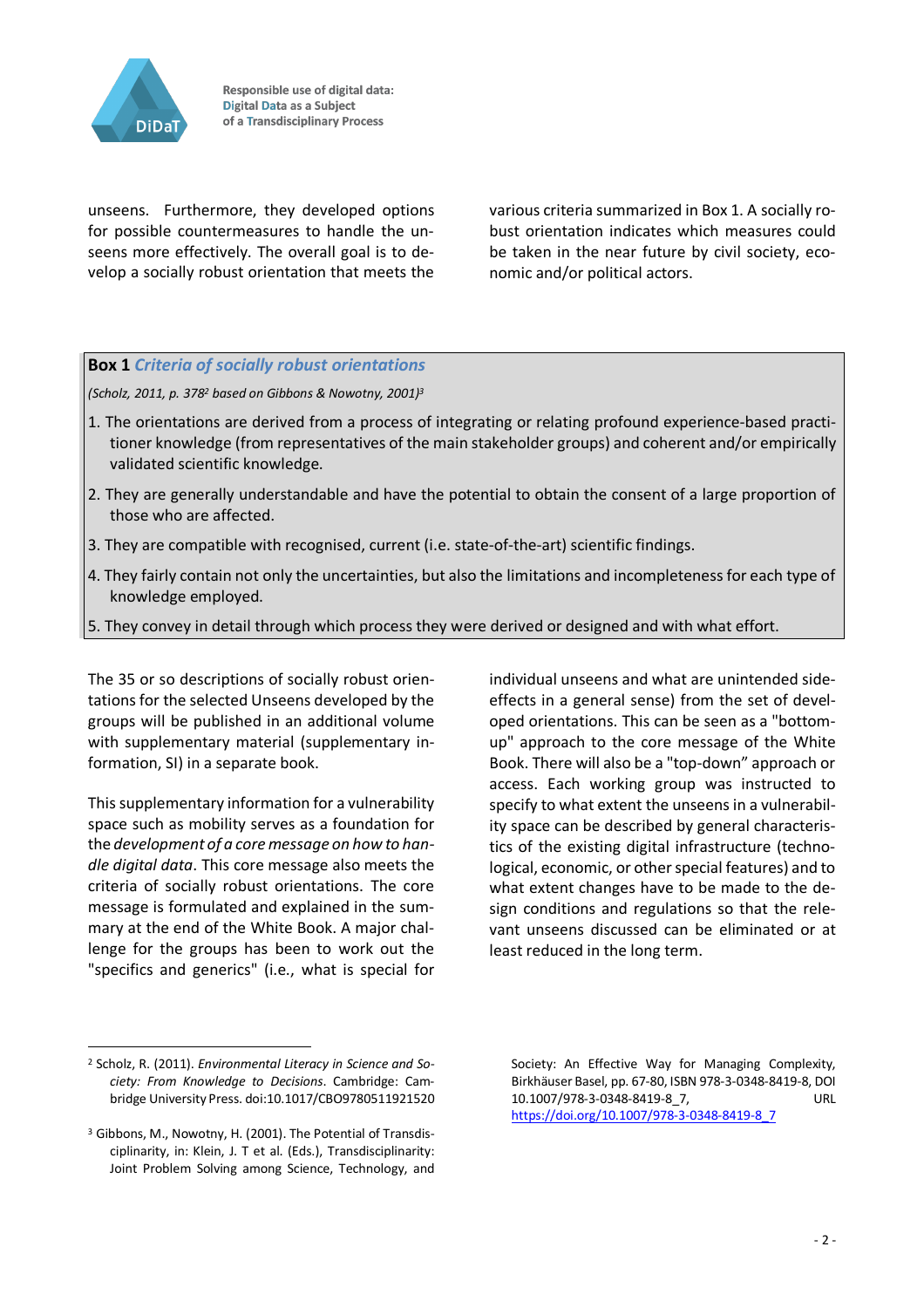

unseens. Furthermore, they developed options for possible countermeasures to handle the unseens more effectively. The overall goal is to develop a socially robust orientation that meets the various criteria summarized in Box 1. A socially robust orientation indicates which measures could be taken in the near future by civil society, economic and/or political actors.

#### **Box 1** *Criteria of socially robust orientations*

*(Scholz, 2011, p. 3782 based on Gibbons & Nowotny, 2001)3*

- 1. The orientations are derived from a process of integrating or relating profound experience-based practitioner knowledge (from representatives of the main stakeholder groups) and coherent and/or empirically validated scientific knowledge.
- 2. They are generally understandable and have the potential to obtain the consent of a large proportion of those who are affected.
- 3. They are compatible with recognised, current (i.e. state-of-the-art) scientific findings.
- 4. They fairly contain not only the uncertainties, but also the limitations and incompleteness for each type of knowledge employed.
- 5. They convey in detail through which process they were derived or designed and with what effort.

The 35 or so descriptions of socially robust orientations for the selected Unseens developed by the groups will be published in an additional volume with supplementary material (supplementary information, SI) in a separate book.

This supplementary information for a vulnerability space such as mobility serves as a foundation for the *development of a core message on how to handle digital data*. This core message also meets the criteria of socially robust orientations. The core message is formulated and explained in the summary at the end of the White Book. A major challenge for the groups has been to work out the "specifics and generics" (i.e., what is special for

individual unseens and what are unintended sideeffects in a general sense) from the set of developed orientations. This can be seen as a "bottomup" approach to the core message of the White Book. There will also be a "top-down" approach or access. Each working group was instructed to specify to what extent the unseens in a vulnerability space can be described by general characteristics of the existing digital infrastructure (technological, economic, or other special features) and to what extent changes have to be made to the design conditions and regulations so that the relevant unseens discussed can be eliminated or at least reduced in the long term.

 $\overline{a}$ 

<sup>2</sup> Scholz, R. (2011). *Environmental Literacy in Science and Society: From Knowledge to Decisions*. Cambridge: Cambridge University Press. doi:10.1017/CBO9780511921520

<sup>3</sup> Gibbons, M., Nowotny, H. (2001). The Potential of Transdisciplinarity, in: Klein, J. T et al. (Eds.), Transdisciplinarity: Joint Problem Solving among Science, Technology, and

Society: An Effective Way for Managing Complexity, Birkhäuser Basel, pp. 67-80, ISBN 978-3-0348-8419-8, DOI 10.1007/978-3-0348-8419-8\_7, URL https://doi.org/10.1007/978-3-0348-8419-8\_7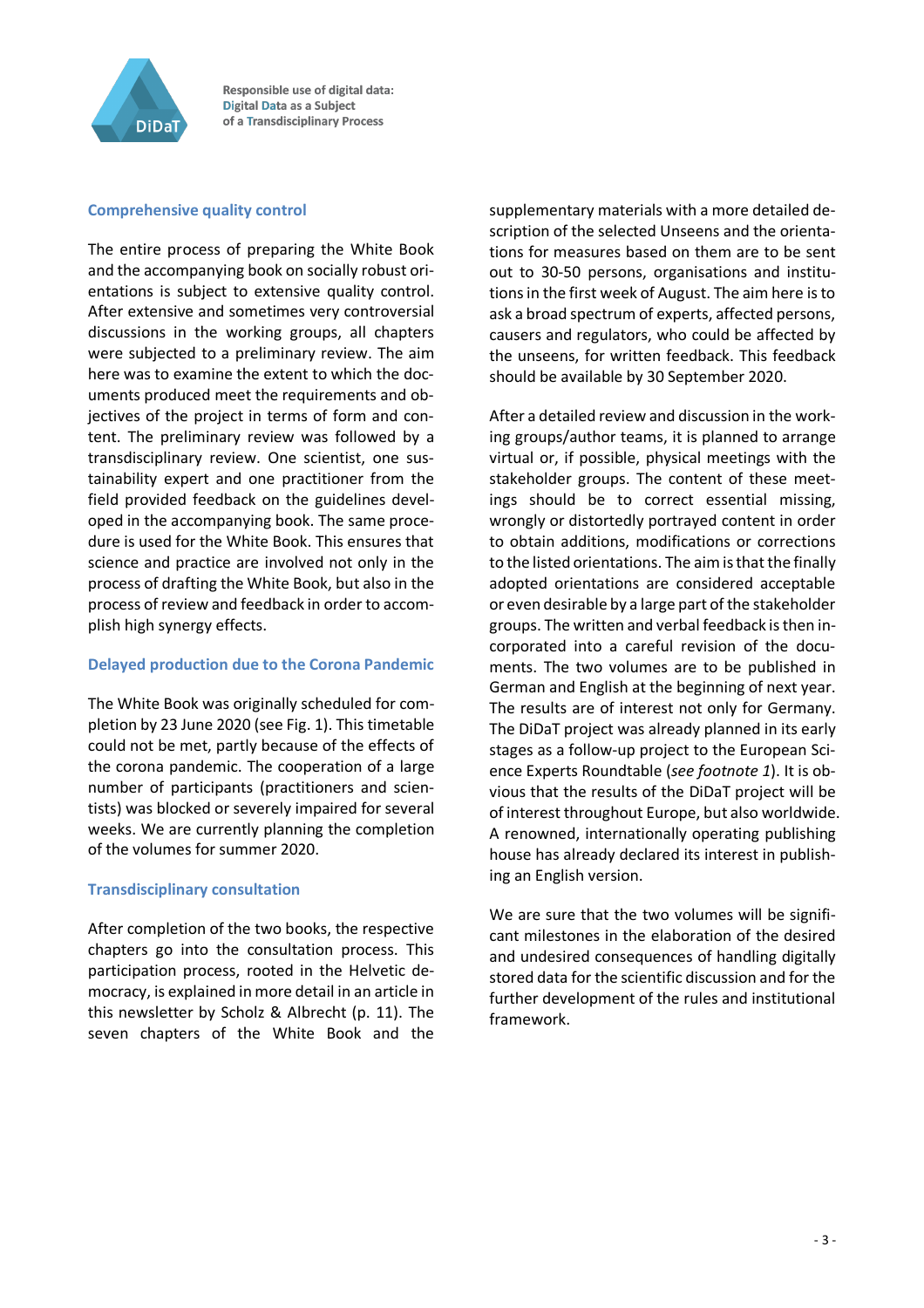

#### **Comprehensive quality control**

The entire process of preparing the White Book and the accompanying book on socially robust orientations is subject to extensive quality control. After extensive and sometimes very controversial discussions in the working groups, all chapters were subjected to a preliminary review. The aim here was to examine the extent to which the documents produced meet the requirements and objectives of the project in terms of form and content. The preliminary review was followed by a transdisciplinary review. One scientist, one sustainability expert and one practitioner from the field provided feedback on the guidelines developed in the accompanying book. The same procedure is used for the White Book. This ensures that science and practice are involved not only in the process of drafting the White Book, but also in the process of review and feedback in order to accomplish high synergy effects.

#### **Delayed production due to the Corona Pandemic**

The White Book was originally scheduled for completion by 23 June 2020 (see Fig. 1). This timetable could not be met, partly because of the effects of the corona pandemic. The cooperation of a large number of participants (practitioners and scientists) was blocked or severely impaired for several weeks. We are currently planning the completion of the volumes for summer 2020.

#### **Transdisciplinary consultation**

After completion of the two books, the respective chapters go into the consultation process. This participation process, rooted in the Helvetic democracy, is explained in more detail in an article in this newsletter by Scholz & Albrecht (p. 11). The seven chapters of the White Book and the supplementary materials with a more detailed description of the selected Unseens and the orientations for measures based on them are to be sent out to 30-50 persons, organisations and institutions in the first week of August. The aim here is to ask a broad spectrum of experts, affected persons, causers and regulators, who could be affected by the unseens, for written feedback. This feedback should be available by 30 September 2020.

After a detailed review and discussion in the working groups/author teams, it is planned to arrange virtual or, if possible, physical meetings with the stakeholder groups. The content of these meetings should be to correct essential missing, wrongly or distortedly portrayed content in order to obtain additions, modifications or corrections to the listed orientations. The aim is that the finally adopted orientations are considered acceptable or even desirable by a large part of the stakeholder groups. The written and verbal feedback is then incorporated into a careful revision of the documents. The two volumes are to be published in German and English at the beginning of next year. The results are of interest not only for Germany. The DiDaT project was already planned in its early stages as a follow-up project to the European Science Experts Roundtable (*see footnote 1*). It is obvious that the results of the DiDaT project will be of interest throughout Europe, but also worldwide. A renowned, internationally operating publishing house has already declared its interest in publishing an English version.

We are sure that the two volumes will be significant milestones in the elaboration of the desired and undesired consequences of handling digitally stored data for the scientific discussion and for the further development of the rules and institutional framework.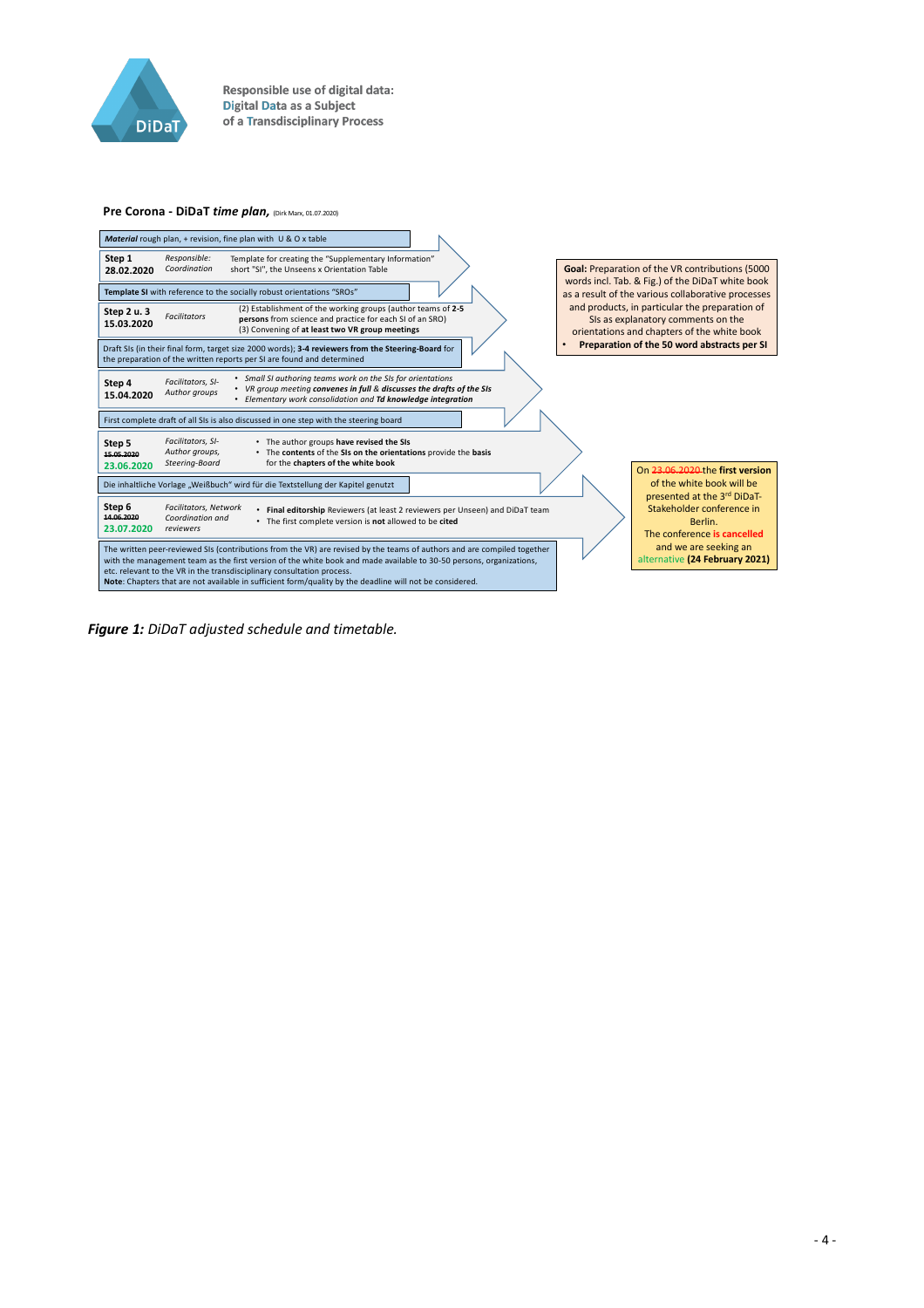

#### **Pre Corona - DiDaT** *time plan,* (Dirk Marx, 01.07.2020)



*Figure 1: DiDaT adjusted schedule and timetable.*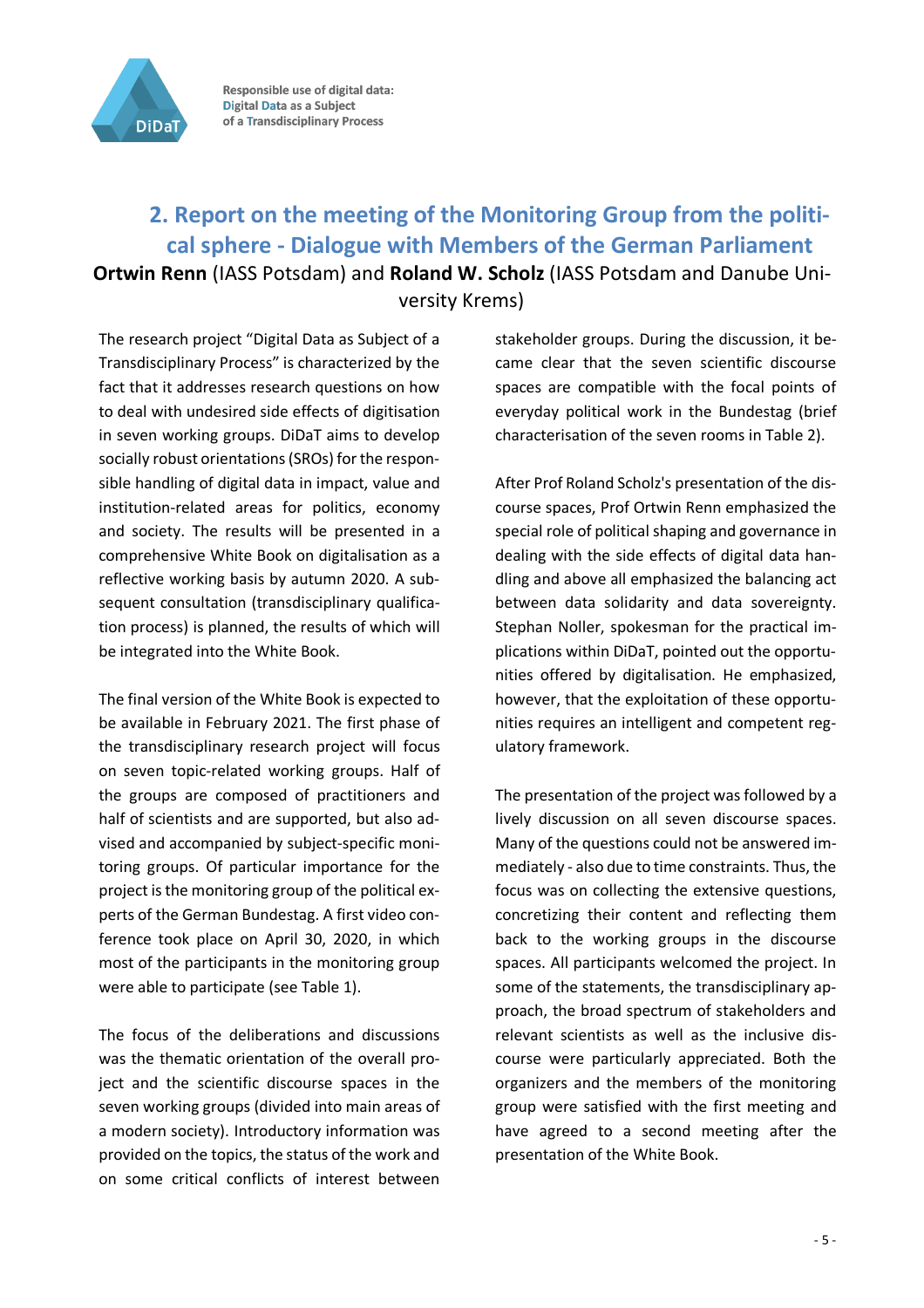

## **2. Report on the meeting of the Monitoring Group from the political sphere - Dialogue with Members of the German Parliament Ortwin Renn** (IASS Potsdam) and **Roland W. Scholz** (IASS Potsdam and Danube University Krems)

The research project "Digital Data as Subject of a Transdisciplinary Process" is characterized by the fact that it addresses research questions on how to deal with undesired side effects of digitisation in seven working groups. DiDaT aims to develop socially robust orientations (SROs) for the responsible handling of digital data in impact, value and institution-related areas for politics, economy and society. The results will be presented in a comprehensive White Book on digitalisation as a reflective working basis by autumn 2020. A subsequent consultation (transdisciplinary qualification process) is planned, the results of which will be integrated into the White Book.

The final version of the White Book is expected to be available in February 2021. The first phase of the transdisciplinary research project will focus on seven topic-related working groups. Half of the groups are composed of practitioners and half of scientists and are supported, but also advised and accompanied by subject-specific monitoring groups. Of particular importance for the project is the monitoring group of the political experts of the German Bundestag. A first video conference took place on April 30, 2020, in which most of the participants in the monitoring group were able to participate (see Table 1).

The focus of the deliberations and discussions was the thematic orientation of the overall project and the scientific discourse spaces in the seven working groups (divided into main areas of a modern society). Introductory information was provided on the topics, the status of the work and on some critical conflicts of interest between stakeholder groups. During the discussion, it became clear that the seven scientific discourse spaces are compatible with the focal points of everyday political work in the Bundestag (brief characterisation of the seven rooms in Table 2).

After Prof Roland Scholz's presentation of the discourse spaces, Prof Ortwin Renn emphasized the special role of political shaping and governance in dealing with the side effects of digital data handling and above all emphasized the balancing act between data solidarity and data sovereignty. Stephan Noller, spokesman for the practical implications within DiDaT, pointed out the opportunities offered by digitalisation. He emphasized, however, that the exploitation of these opportunities requires an intelligent and competent regulatory framework.

The presentation of the project was followed by a lively discussion on all seven discourse spaces. Many of the questions could not be answered immediately - also due to time constraints. Thus, the focus was on collecting the extensive questions, concretizing their content and reflecting them back to the working groups in the discourse spaces. All participants welcomed the project. In some of the statements, the transdisciplinary approach, the broad spectrum of stakeholders and relevant scientists as well as the inclusive discourse were particularly appreciated. Both the organizers and the members of the monitoring group were satisfied with the first meeting and have agreed to a second meeting after the presentation of the White Book.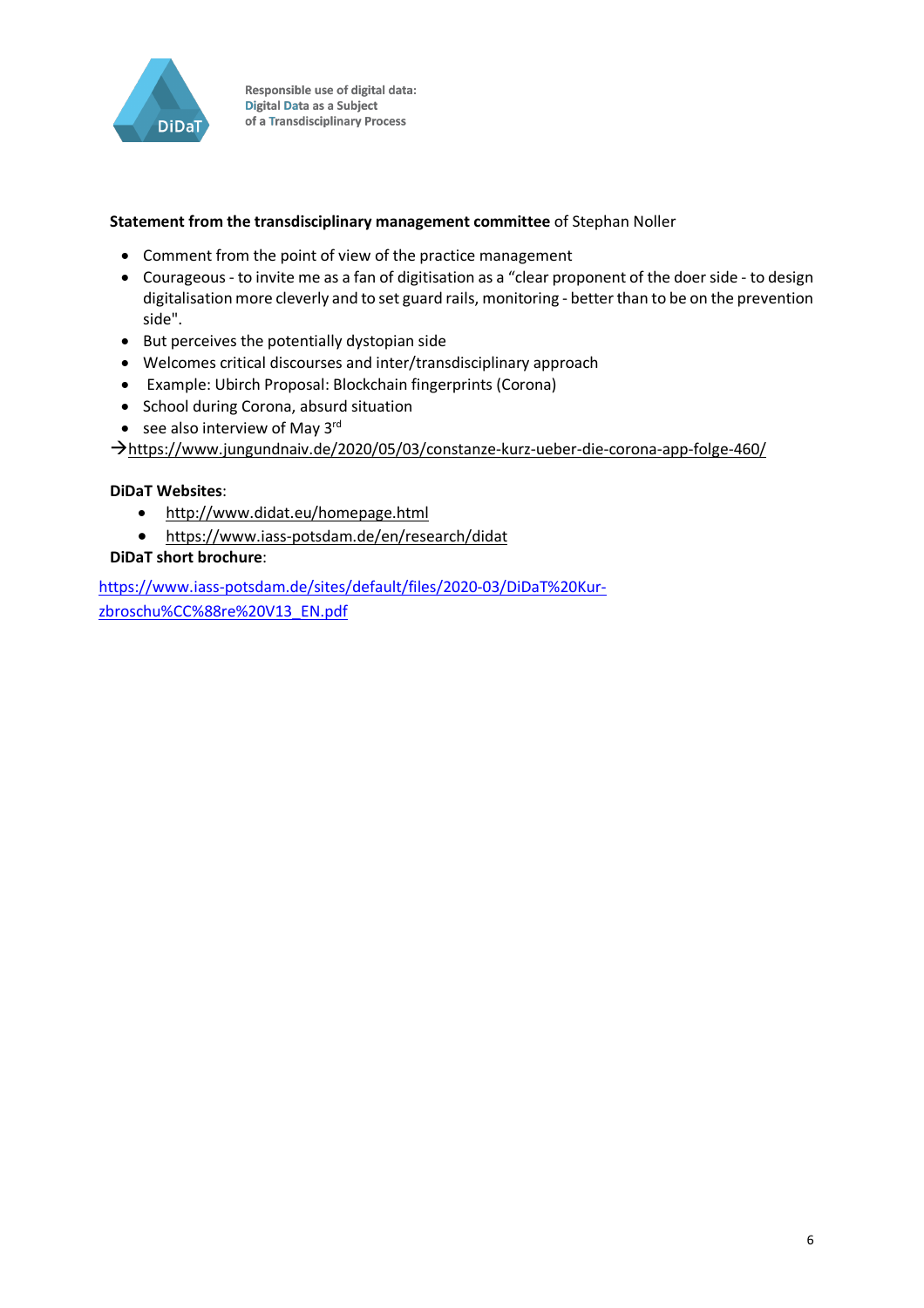

#### **Statement from the transdisciplinary management committee** of Stephan Noller

- Comment from the point of view of the practice management
- Courageous to invite me as a fan of digitisation as a "clear proponent of the doer side to design digitalisation more cleverly and to set guard rails, monitoring - better than to be on the prevention side".
- But perceives the potentially dystopian side
- Welcomes critical discourses and inter/transdisciplinary approach
- Example: Ubirch Proposal: Blockchain fingerprints (Corona)
- School during Corona, absurd situation
- see also interview of May  $3^{\text{rd}}$

àhttps://www.jungundnaiv.de/2020/05/03/constanze-kurz-ueber-die-corona-app-folge-460/

#### **DiDaT Websites**:

- http://www.didat.eu/homepage.html
- https://www.iass-potsdam.de/en/research/didat

#### **DiDaT short brochure**:

https://www.iass-potsdam.de/sites/default/files/2020-03/DiDaT%20Kurzbroschu%CC%88re%20V13\_EN.pdf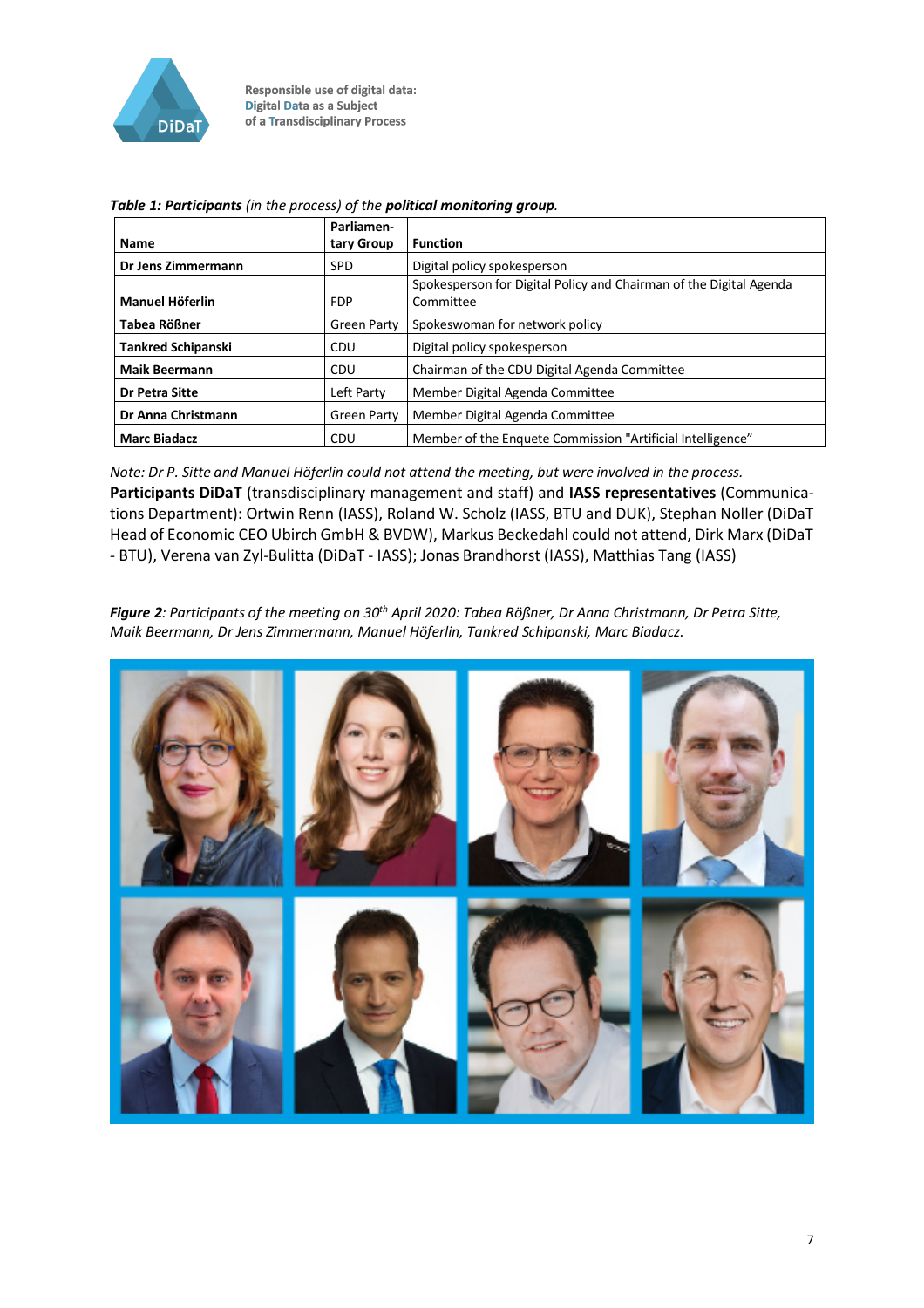

|                           | Parliamen-         |                                                                    |
|---------------------------|--------------------|--------------------------------------------------------------------|
| <b>Name</b>               | tary Group         | <b>Function</b>                                                    |
| Dr Jens Zimmermann        | <b>SPD</b>         | Digital policy spokesperson                                        |
|                           |                    | Spokesperson for Digital Policy and Chairman of the Digital Agenda |
| <b>Manuel Höferlin</b>    | <b>FDP</b>         | Committee                                                          |
| Tabea Rößner              | <b>Green Party</b> | Spokeswoman for network policy                                     |
| <b>Tankred Schipanski</b> | <b>CDU</b>         | Digital policy spokesperson                                        |
| <b>Maik Beermann</b>      | <b>CDU</b>         | Chairman of the CDU Digital Agenda Committee                       |
| Dr Petra Sitte            | Left Party         | Member Digital Agenda Committee                                    |
| <b>Dr Anna Christmann</b> | <b>Green Party</b> | Member Digital Agenda Committee                                    |
| <b>Marc Biadacz</b>       | CDU                | Member of the Enquete Commission "Artificial Intelligence"         |

*Table 1: Participants (in the process) of the political monitoring group.*

*Note: Dr P. Sitte and Manuel Höferlin could not attend the meeting, but were involved in the process.* **Participants DiDaT** (transdisciplinary management and staff) and **IASS representatives** (Communications Department): Ortwin Renn (IASS), Roland W. Scholz (IASS, BTU and DUK), Stephan Noller (DiDaT Head of Economic CEO Ubirch GmbH & BVDW), Markus Beckedahl could not attend, Dirk Marx (DiDaT - BTU), Verena van Zyl-Bulitta (DiDaT - IASS); Jonas Brandhorst (IASS), Matthias Tang (IASS)

*Figure 2: Participants of the meeting on 30th April 2020: Tabea Rößner, Dr Anna Christmann, Dr Petra Sitte, Maik Beermann, Dr Jens Zimmermann, Manuel Höferlin, Tankred Schipanski, Marc Biadacz.*

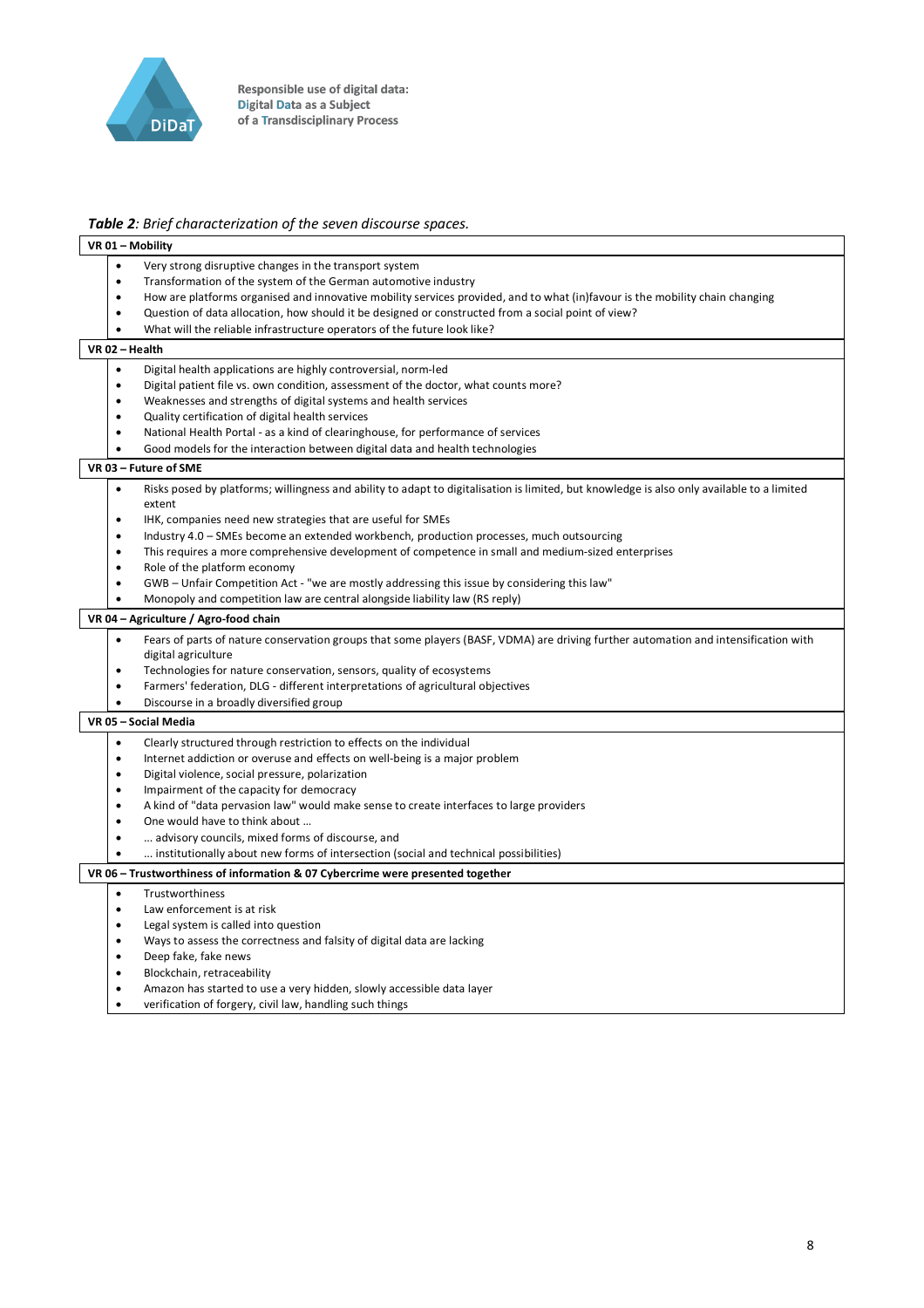

#### *Table 2: Brief characterization of the seven discourse spaces.*

| VR 01 - Mobility                                                                                                                                                                                                                                                                                                                                                                          |                                                                                                                                                                                                                                                                                                                                                                               |  |
|-------------------------------------------------------------------------------------------------------------------------------------------------------------------------------------------------------------------------------------------------------------------------------------------------------------------------------------------------------------------------------------------|-------------------------------------------------------------------------------------------------------------------------------------------------------------------------------------------------------------------------------------------------------------------------------------------------------------------------------------------------------------------------------|--|
| Very strong disruptive changes in the transport system<br>$\bullet$<br>Transformation of the system of the German automotive industry<br>$\bullet$<br>$\bullet$<br>$\bullet$<br>What will the reliable infrastructure operators of the future look like?<br>$\bullet$                                                                                                                     | How are platforms organised and innovative mobility services provided, and to what (in)favour is the mobility chain changing<br>Question of data allocation, how should it be designed or constructed from a social point of view?                                                                                                                                            |  |
| VR 02 - Health                                                                                                                                                                                                                                                                                                                                                                            |                                                                                                                                                                                                                                                                                                                                                                               |  |
| $\bullet$<br>Digital health applications are highly controversial, norm-led<br>$\bullet$<br>Weaknesses and strengths of digital systems and health services<br>$\bullet$<br>Quality certification of digital health services<br>$\bullet$<br>$\bullet$<br>$\bullet$<br>VR 03 - Future of SME                                                                                              | Digital patient file vs. own condition, assessment of the doctor, what counts more?<br>National Health Portal - as a kind of clearinghouse, for performance of services<br>Good models for the interaction between digital data and health technologies                                                                                                                       |  |
| $\bullet$                                                                                                                                                                                                                                                                                                                                                                                 | Risks posed by platforms; willingness and ability to adapt to digitalisation is limited, but knowledge is also only available to a limited                                                                                                                                                                                                                                    |  |
| extent<br>IHK, companies need new strategies that are useful for SMEs<br>$\bullet$<br>$\bullet$<br>$\bullet$<br>Role of the platform economy<br>$\bullet$<br>$\bullet$<br>$\bullet$                                                                                                                                                                                                       | Industry 4.0 - SMEs become an extended workbench, production processes, much outsourcing<br>This requires a more comprehensive development of competence in small and medium-sized enterprises<br>GWB - Unfair Competition Act - "we are mostly addressing this issue by considering this law"<br>Monopoly and competition law are central alongside liability law (RS reply) |  |
| VR 04 - Agriculture / Agro-food chain                                                                                                                                                                                                                                                                                                                                                     |                                                                                                                                                                                                                                                                                                                                                                               |  |
| $\bullet$<br>digital agriculture<br>Technologies for nature conservation, sensors, quality of ecosystems<br>$\bullet$<br>$\bullet$<br>Discourse in a broadly diversified group<br>$\bullet$                                                                                                                                                                                               | Fears of parts of nature conservation groups that some players (BASF, VDMA) are driving further automation and intensification with<br>Farmers' federation, DLG - different interpretations of agricultural objectives                                                                                                                                                        |  |
| VR 05 - Social Media                                                                                                                                                                                                                                                                                                                                                                      |                                                                                                                                                                                                                                                                                                                                                                               |  |
| Clearly structured through restriction to effects on the individual<br>$\bullet$<br>$\bullet$<br>Digital violence, social pressure, polarization<br>$\bullet$<br>Impairment of the capacity for democracy<br>$\bullet$<br>$\bullet$<br>One would have to think about<br>$\bullet$<br>advisory councils, mixed forms of discourse, and<br>$\bullet$<br>$\bullet$                           | Internet addiction or overuse and effects on well-being is a major problem<br>A kind of "data pervasion law" would make sense to create interfaces to large providers<br>institutionally about new forms of intersection (social and technical possibilities)                                                                                                                 |  |
| VR 06 - Trustworthiness of information & 07 Cybercrime were presented together                                                                                                                                                                                                                                                                                                            |                                                                                                                                                                                                                                                                                                                                                                               |  |
| Trustworthiness<br>$\bullet$<br>Law enforcement is at risk<br>$\bullet$<br>Legal system is called into question<br>$\bullet$<br>Ways to assess the correctness and falsity of digital data are lacking<br>$\bullet$<br>Deep fake, fake news<br>$\bullet$<br>Blockchain, retraceability<br>$\bullet$<br>Amazon has started to use a very hidden, slowly accessible data layer<br>$\bullet$ |                                                                                                                                                                                                                                                                                                                                                                               |  |
| verification of forgery, civil law, handling such things<br>$\bullet$                                                                                                                                                                                                                                                                                                                     |                                                                                                                                                                                                                                                                                                                                                                               |  |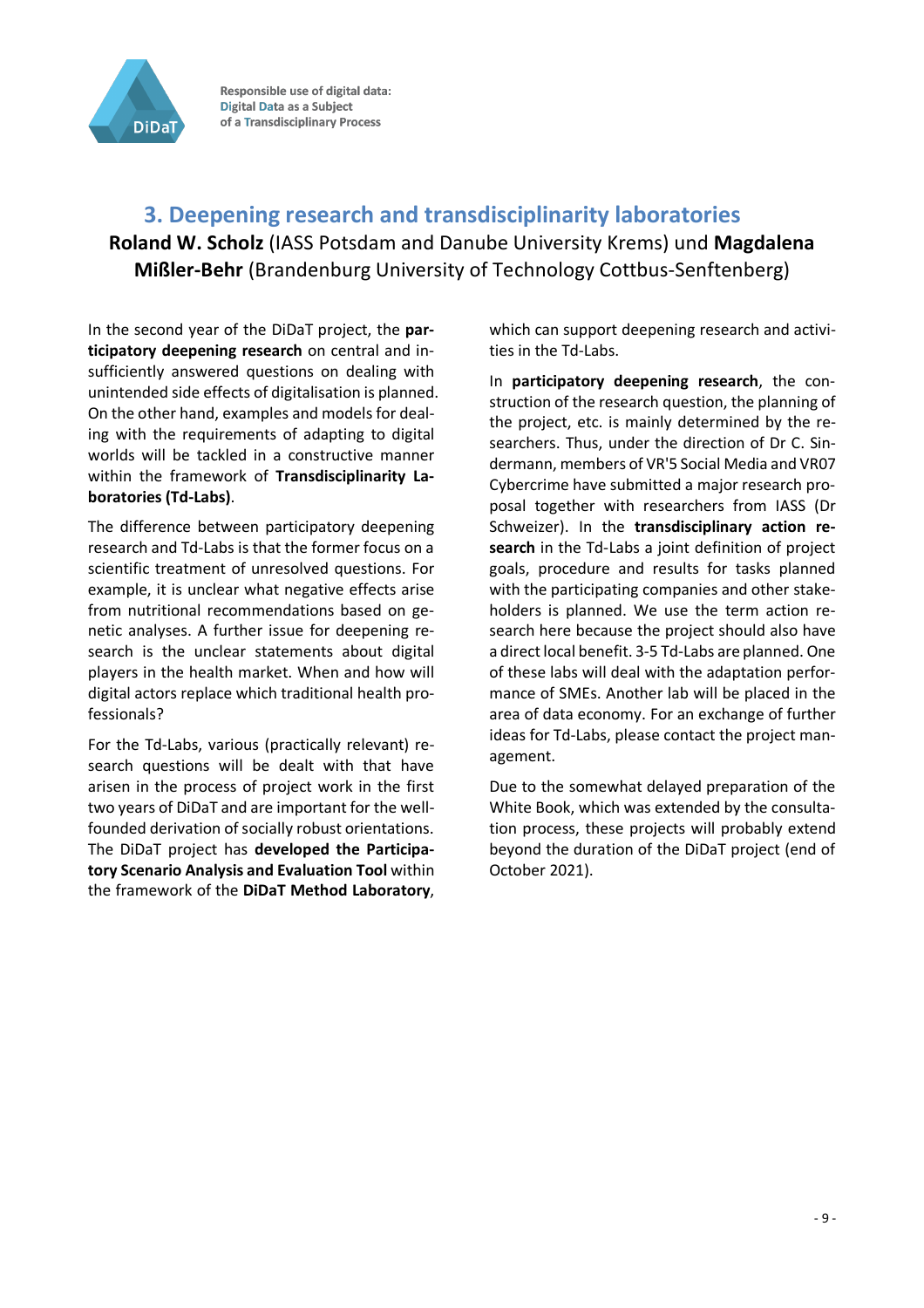

## **3. Deepening research and transdisciplinarity laboratories**

**Roland W. Scholz** (IASS Potsdam and Danube University Krems) und **Magdalena Mißler-Behr** (Brandenburg University of Technology Cottbus-Senftenberg)

In the second year of the DiDaT project, the **participatory deepening research** on central and insufficiently answered questions on dealing with unintended side effects of digitalisation is planned. On the other hand, examples and models for dealing with the requirements of adapting to digital worlds will be tackled in a constructive manner within the framework of **Transdisciplinarity Laboratories (Td-Labs)**.

The difference between participatory deepening research and Td-Labs is that the former focus on a scientific treatment of unresolved questions. For example, it is unclear what negative effects arise from nutritional recommendations based on genetic analyses. A further issue for deepening research is the unclear statements about digital players in the health market. When and how will digital actors replace which traditional health professionals?

For the Td-Labs, various (practically relevant) research questions will be dealt with that have arisen in the process of project work in the first two years of DiDaT and are important for the wellfounded derivation of socially robust orientations. The DiDaT project has **developed the Participatory Scenario Analysis and Evaluation Tool** within the framework of the **DiDaT Method Laboratory**,

which can support deepening research and activities in the Td-Labs.

In **participatory deepening research**, the construction of the research question, the planning of the project, etc. is mainly determined by the researchers. Thus, under the direction of Dr C. Sindermann, members of VR'5 Social Media and VR07 Cybercrime have submitted a major research proposal together with researchers from IASS (Dr Schweizer). In the **transdisciplinary action research** in the Td-Labs a joint definition of project goals, procedure and results for tasks planned with the participating companies and other stakeholders is planned. We use the term action research here because the project should also have a direct local benefit. 3-5 Td-Labs are planned. One of these labs will deal with the adaptation performance of SMEs. Another lab will be placed in the area of data economy. For an exchange of further ideas for Td-Labs, please contact the project management.

Due to the somewhat delayed preparation of the White Book, which was extended by the consultation process, these projects will probably extend beyond the duration of the DiDaT project (end of October 2021).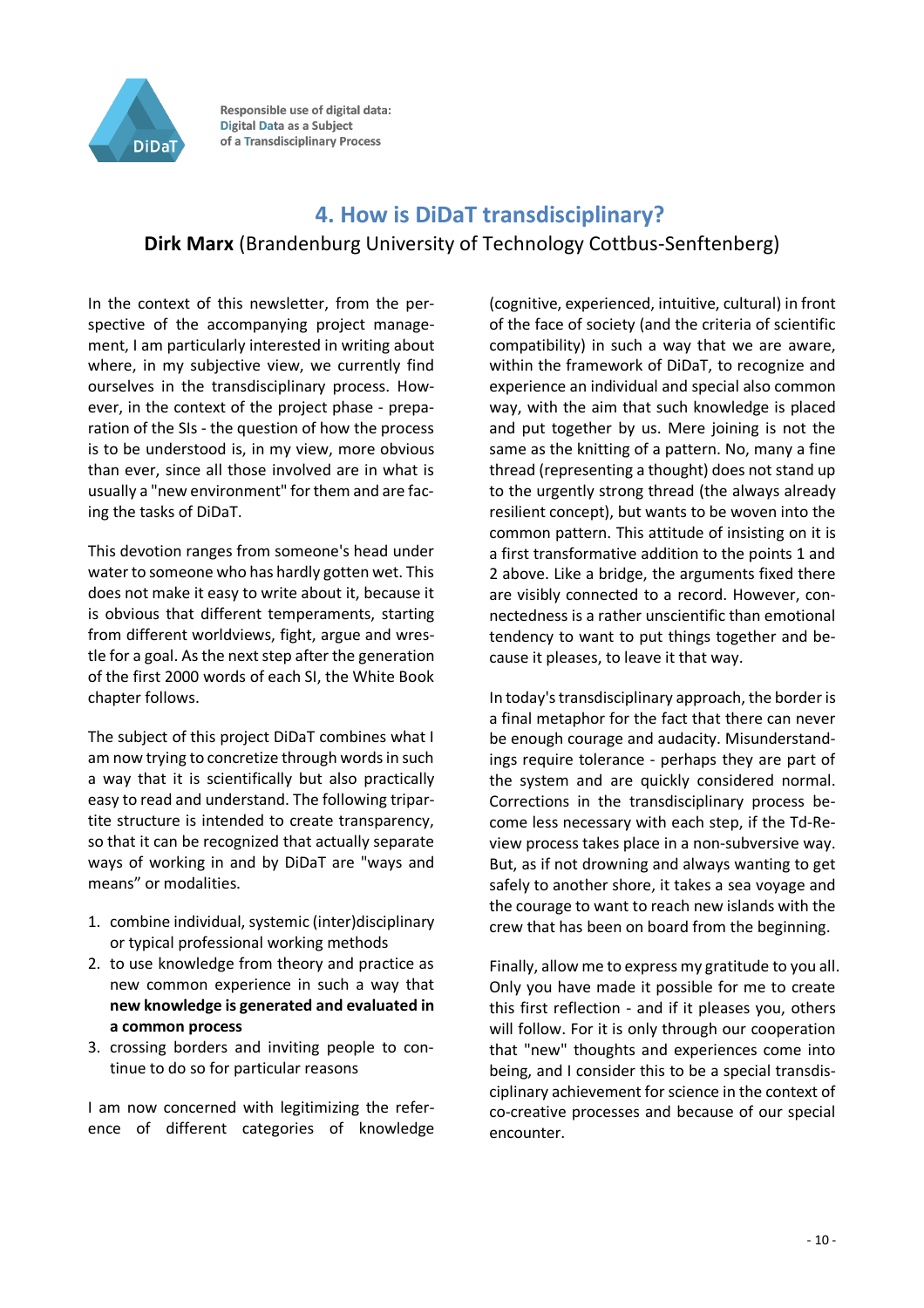

## **4. How is DiDaT transdisciplinary? Dirk Marx** (Brandenburg University of Technology Cottbus-Senftenberg)

In the context of this newsletter, from the perspective of the accompanying project management, I am particularly interested in writing about where, in my subjective view, we currently find ourselves in the transdisciplinary process. However, in the context of the project phase - preparation of the SIs - the question of how the process is to be understood is, in my view, more obvious than ever, since all those involved are in what is usually a "new environment" for them and are facing the tasks of DiDaT.

This devotion ranges from someone's head under water to someone who has hardly gotten wet. This does not make it easy to write about it, because it is obvious that different temperaments, starting from different worldviews, fight, argue and wrestle for a goal. As the next step after the generation of the first 2000 words of each SI, the White Book chapter follows.

The subject of this project DiDaT combines what I am now trying to concretize through words in such a way that it is scientifically but also practically easy to read and understand. The following tripartite structure is intended to create transparency, so that it can be recognized that actually separate ways of working in and by DiDaT are "ways and means" or modalities.

- 1. combine individual, systemic (inter)disciplinary or typical professional working methods
- 2. to use knowledge from theory and practice as new common experience in such a way that **new knowledge is generated and evaluated in a common process**
- 3. crossing borders and inviting people to continue to do so for particular reasons

I am now concerned with legitimizing the reference of different categories of knowledge

(cognitive, experienced, intuitive, cultural) in front of the face of society (and the criteria of scientific compatibility) in such a way that we are aware, within the framework of DiDaT, to recognize and experience an individual and special also common way, with the aim that such knowledge is placed and put together by us. Mere joining is not the same as the knitting of a pattern. No, many a fine thread (representing a thought) does not stand up to the urgently strong thread (the always already resilient concept), but wants to be woven into the common pattern. This attitude of insisting on it is a first transformative addition to the points 1 and 2 above. Like a bridge, the arguments fixed there are visibly connected to a record. However, connectedness is a rather unscientific than emotional tendency to want to put things together and because it pleases, to leave it that way.

In today's transdisciplinary approach, the border is a final metaphor for the fact that there can never be enough courage and audacity. Misunderstandings require tolerance - perhaps they are part of the system and are quickly considered normal. Corrections in the transdisciplinary process become less necessary with each step, if the Td-Review process takes place in a non-subversive way. But, as if not drowning and always wanting to get safely to another shore, it takes a sea voyage and the courage to want to reach new islands with the crew that has been on board from the beginning.

Finally, allow me to express my gratitude to you all. Only you have made it possible for me to create this first reflection - and if it pleases you, others will follow. For it is only through our cooperation that "new" thoughts and experiences come into being, and I consider this to be a special transdisciplinary achievement for science in the context of co-creative processes and because of our special encounter.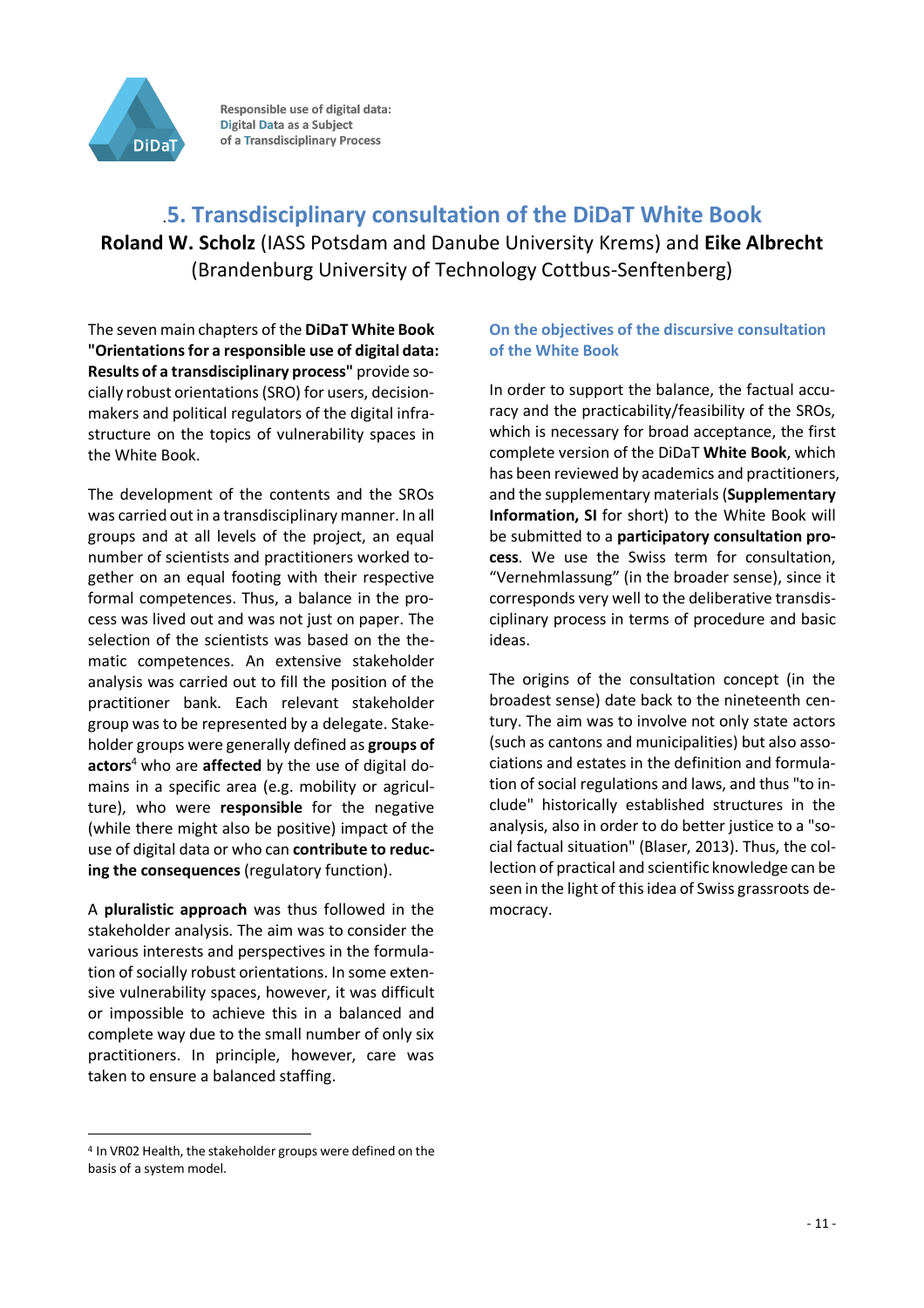

## .**5. Transdisciplinary consultation of the DiDaT White Book Roland W. Scholz** (IASS Potsdam and Danube University Krems) and **Eike Albrecht**  (Brandenburg University of Technology Cottbus-Senftenberg)

The seven main chapters of the **DiDaT White Book "Orientations for a responsible use of digital data: Results of a transdisciplinary process"** provide socially robust orientations (SRO) for users, decisionmakers and political regulators of the digital infrastructure on the topics of vulnerability spaces in the White Book.

The development of the contents and the SROs was carried out in a transdisciplinary manner. In all groups and at all levels of the project, an equal number of scientists and practitioners worked together on an equal footing with their respective formal competences. Thus, a balance in the process was lived out and was not just on paper. The selection of the scientists was based on the thematic competences. An extensive stakeholder analysis was carried out to fill the position of the practitioner bank. Each relevant stakeholder group was to be represented by a delegate. Stakeholder groups were generally defined as **groups of actors**<sup>4</sup> who are **affected** by the use of digital domains in a specific area (e.g. mobility or agriculture), who were **responsible** for the negative (while there might also be positive) impact of the use of digital data or who can **contribute to reducing the consequences** (regulatory function).

A **pluralistic approach** was thus followed in the stakeholder analysis. The aim was to consider the various interests and perspectives in the formulation of socially robust orientations. In some extensive vulnerability spaces, however, it was difficult or impossible to achieve this in a balanced and complete way due to the small number of only six practitioners. In principle, however, care was taken to ensure a balanced staffing.

#### **On the objectives of the discursive consultation of the White Book**

In order to support the balance, the factual accuracy and the practicability/feasibility of the SROs, which is necessary for broad acceptance, the first complete version of the DiDaT **White Book**, which has been reviewed by academics and practitioners, and the supplementary materials (**Supplementary Information, SI** for short) to the White Book will be submitted to a **participatory consultation process**. We use the Swiss term for consultation, "Vernehmlassung" (in the broader sense), since it corresponds very well to the deliberative transdisciplinary process in terms of procedure and basic ideas.

The origins of the consultation concept (in the broadest sense) date back to the nineteenth century. The aim was to involve not only state actors (such as cantons and municipalities) but also associations and estates in the definition and formulation of social regulations and laws, and thus "to include" historically established structures in the analysis, also in order to do better justice to a "social factual situation" (Blaser, 2013). Thus, the collection of practical and scientific knowledge can be seen in the light of this idea of Swiss grassroots democracy.

 $\overline{a}$ <sup>4</sup> In VR02 Health, the stakeholder groups were defined on the basis of a system model.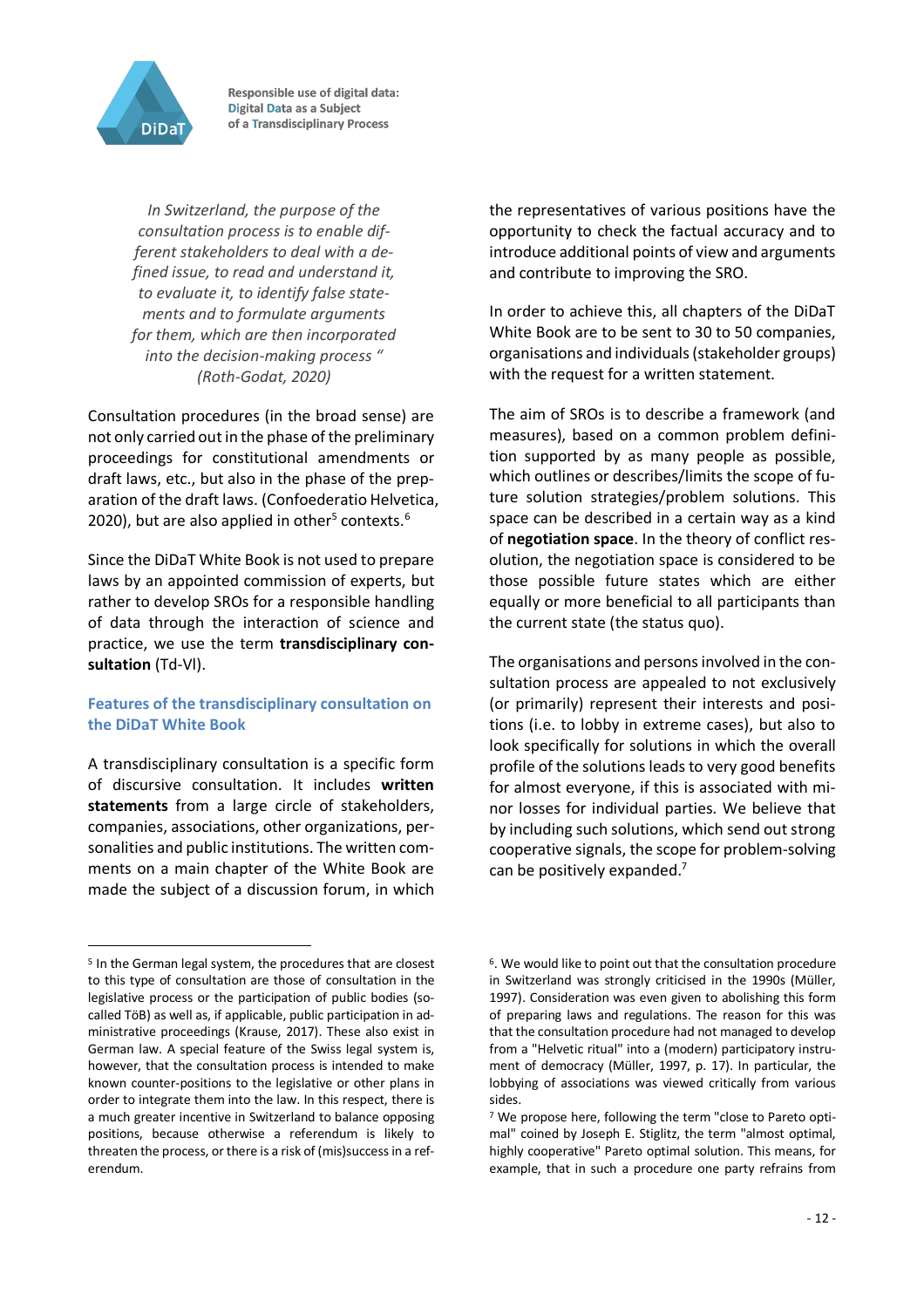

*In Switzerland, the purpose of the consultation process is to enable different stakeholders to deal with a defined issue, to read and understand it, to evaluate it, to identify false statements and to formulate arguments for them, which are then incorporated into the decision-making process " (Roth-Godat, 2020)*

Consultation procedures (in the broad sense) are not only carried out in the phase of the preliminary proceedings for constitutional amendments or draft laws, etc., but also in the phase of the preparation of the draft laws. (Confoederatio Helvetica, 2020), but are also applied in other<sup>5</sup> contexts.<sup>6</sup>

Since the DiDaT White Book is not used to prepare laws by an appointed commission of experts, but rather to develop SROs for a responsible handling of data through the interaction of science and practice, we use the term **transdisciplinary consultation** (Td-Vl).

#### **Features of the transdisciplinary consultation on the DiDaT White Book**

A transdisciplinary consultation is a specific form of discursive consultation. It includes **written statements** from a large circle of stakeholders, companies, associations, other organizations, personalities and public institutions. The written comments on a main chapter of the White Book are made the subject of a discussion forum, in which

 $\overline{a}$ 

the representatives of various positions have the opportunity to check the factual accuracy and to introduce additional points of view and arguments and contribute to improving the SRO.

In order to achieve this, all chapters of the DiDaT White Book are to be sent to 30 to 50 companies, organisations and individuals (stakeholder groups) with the request for a written statement.

The aim of SROs is to describe a framework (and measures), based on a common problem definition supported by as many people as possible, which outlines or describes/limits the scope of future solution strategies/problem solutions. This space can be described in a certain way as a kind of **negotiation space**. In the theory of conflict resolution, the negotiation space is considered to be those possible future states which are either equally or more beneficial to all participants than the current state (the status quo).

The organisations and persons involved in the consultation process are appealed to not exclusively (or primarily) represent their interests and positions (i.e. to lobby in extreme cases), but also to look specifically for solutions in which the overall profile of the solutions leads to very good benefits for almost everyone, if this is associated with minor losses for individual parties. We believe that by including such solutions, which send out strong cooperative signals, the scope for problem-solving can be positively expanded.<sup>7</sup>

<sup>5</sup> In the German legal system, the procedures that are closest to this type of consultation are those of consultation in the legislative process or the participation of public bodies (socalled TöB) as well as, if applicable, public participation in administrative proceedings (Krause, 2017). These also exist in German law. A special feature of the Swiss legal system is, however, that the consultation process is intended to make known counter-positions to the legislative or other plans in order to integrate them into the law. In this respect, there is a much greater incentive in Switzerland to balance opposing positions, because otherwise a referendum is likely to threaten the process, or there is a risk of (mis)success in a referendum.

<sup>&</sup>lt;sup>6</sup>. We would like to point out that the consultation procedure in Switzerland was strongly criticised in the 1990s (Müller, 1997). Consideration was even given to abolishing this form of preparing laws and regulations. The reason for this was that the consultation procedure had not managed to develop from a "Helvetic ritual" into a (modern) participatory instrument of democracy (Müller, 1997, p. 17). In particular, the lobbying of associations was viewed critically from various sides.

<sup>7</sup> We propose here, following the term "close to Pareto optimal" coined by Joseph E. Stiglitz, the term "almost optimal, highly cooperative" Pareto optimal solution. This means, for example, that in such a procedure one party refrains from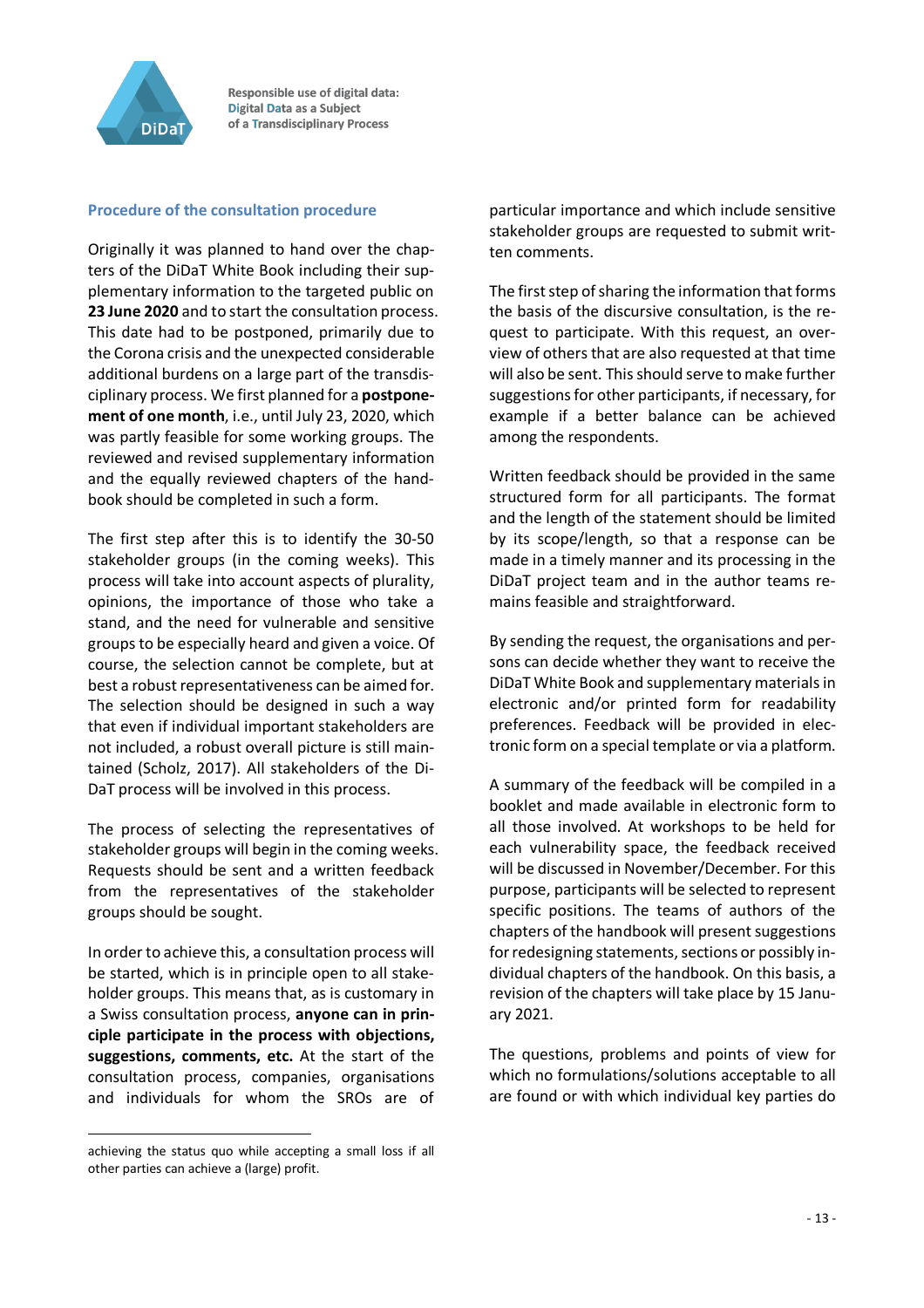

#### **Procedure of the consultation procedure**

Originally it was planned to hand over the chapters of the DiDaT White Book including their supplementary information to the targeted public on **23 June 2020** and to start the consultation process. This date had to be postponed, primarily due to the Corona crisis and the unexpected considerable additional burdens on a large part of the transdisciplinary process. We first planned for a **postponement of one month**, i.e., until July 23, 2020, which was partly feasible for some working groups. The reviewed and revised supplementary information and the equally reviewed chapters of the handbook should be completed in such a form.

The first step after this is to identify the 30-50 stakeholder groups (in the coming weeks). This process will take into account aspects of plurality, opinions, the importance of those who take a stand, and the need for vulnerable and sensitive groups to be especially heard and given a voice. Of course, the selection cannot be complete, but at best a robust representativeness can be aimed for. The selection should be designed in such a way that even if individual important stakeholders are not included, a robust overall picture is still maintained (Scholz, 2017). All stakeholders of the Di-DaT process will be involved in this process.

The process of selecting the representatives of stakeholder groups will begin in the coming weeks. Requests should be sent and a written feedback from the representatives of the stakeholder groups should be sought.

In order to achieve this, a consultation process will be started, which is in principle open to all stakeholder groups. This means that, as is customary in a Swiss consultation process, **anyone can in principle participate in the process with objections, suggestions, comments, etc.** At the start of the consultation process, companies, organisations and individuals for whom the SROs are of

 $\overline{a}$ 

particular importance and which include sensitive stakeholder groups are requested to submit written comments.

The first step of sharing the information that forms the basis of the discursive consultation, is the request to participate. With this request, an overview of others that are also requested at that time will also be sent. This should serve to make further suggestions for other participants, if necessary, for example if a better balance can be achieved among the respondents.

Written feedback should be provided in the same structured form for all participants. The format and the length of the statement should be limited by its scope/length, so that a response can be made in a timely manner and its processing in the DiDaT project team and in the author teams remains feasible and straightforward.

By sending the request, the organisations and persons can decide whether they want to receive the DiDaT White Book and supplementary materials in electronic and/or printed form for readability preferences. Feedback will be provided in electronic form on a special template or via a platform.

A summary of the feedback will be compiled in a booklet and made available in electronic form to all those involved. At workshops to be held for each vulnerability space, the feedback received will be discussed in November/December. For this purpose, participants will be selected to represent specific positions. The teams of authors of the chapters of the handbook will present suggestions for redesigning statements, sections or possibly individual chapters of the handbook. On this basis, a revision of the chapters will take place by 15 January 2021.

The questions, problems and points of view for which no formulations/solutions acceptable to all are found or with which individual key parties do

achieving the status quo while accepting a small loss if all other parties can achieve a (large) profit.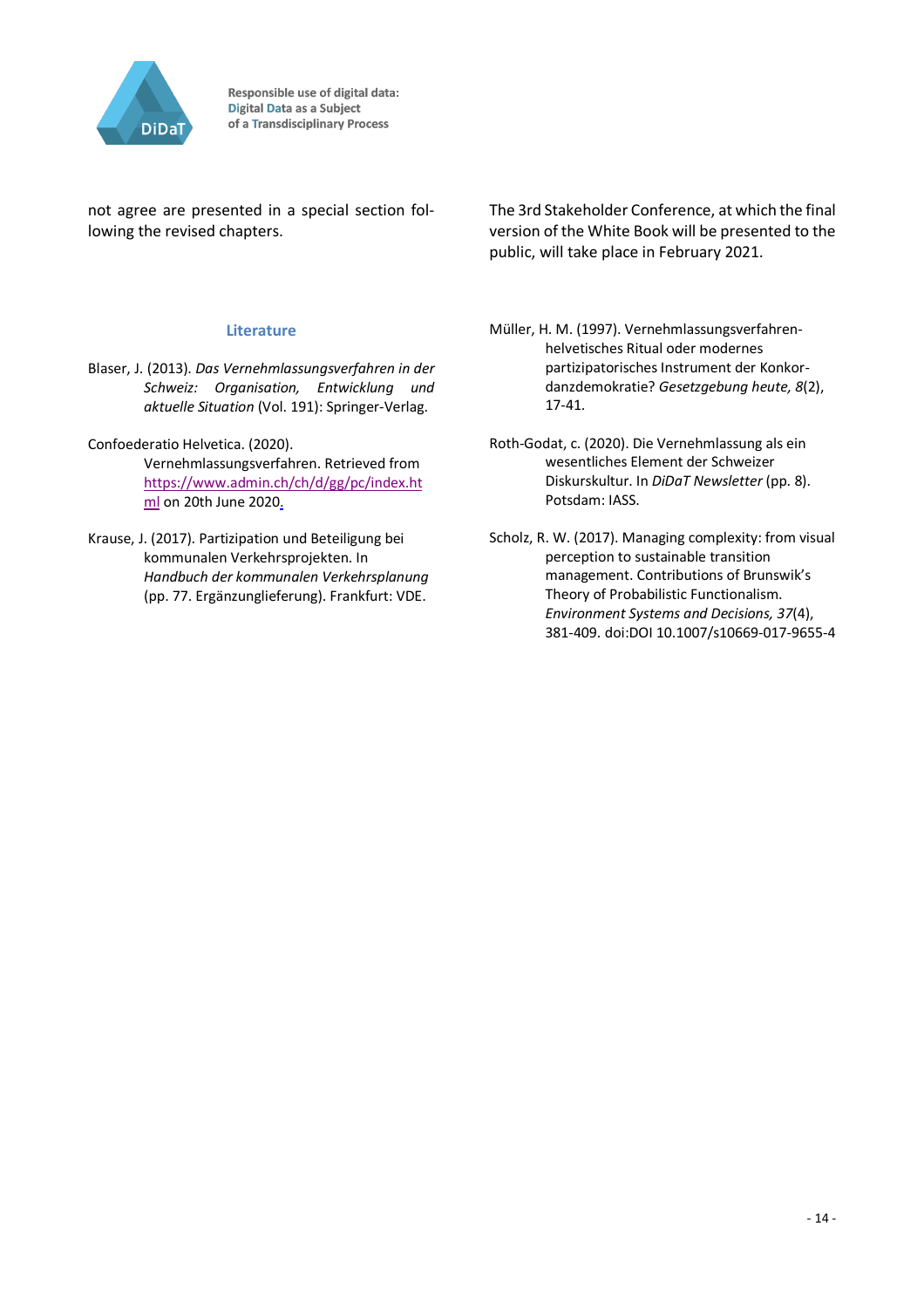

not agree are presented in a special section following the revised chapters.

#### **Literature**

- Blaser, J. (2013). *Das Vernehmlassungsverfahren in der Schweiz: Organisation, Entwicklung und aktuelle Situation* (Vol. 191): Springer-Verlag.
- Confoederatio Helvetica. (2020). Vernehmlassungsverfahren. Retrieved from https://www.admin.ch/ch/d/gg/pc/index.ht ml on 20th June 2020.
- Krause, J. (2017). Partizipation und Beteiligung bei kommunalen Verkehrsprojekten. In *Handbuch der kommunalen Verkehrsplanung* (pp. 77. Ergänzunglieferung). Frankfurt: VDE.

The 3rd Stakeholder Conference, at which the final version of the White Book will be presented to the public, will take place in February 2021.

Müller, H. M. (1997). Vernehmlassungsverfahrenhelvetisches Ritual oder modernes partizipatorisches Instrument der Konkordanzdemokratie? *Gesetzgebung heute, 8*(2), 17-41.

- Roth-Godat, c. (2020). Die Vernehmlassung als ein wesentliches Element der Schweizer Diskurskultur. In *DiDaT Newsletter* (pp. 8). Potsdam: IASS.
- Scholz, R. W. (2017). Managing complexity: from visual perception to sustainable transition management. Contributions of Brunswik's Theory of Probabilistic Functionalism. *Environment Systems and Decisions, 37*(4), 381-409. doi:DOI 10.1007/s10669-017-9655-4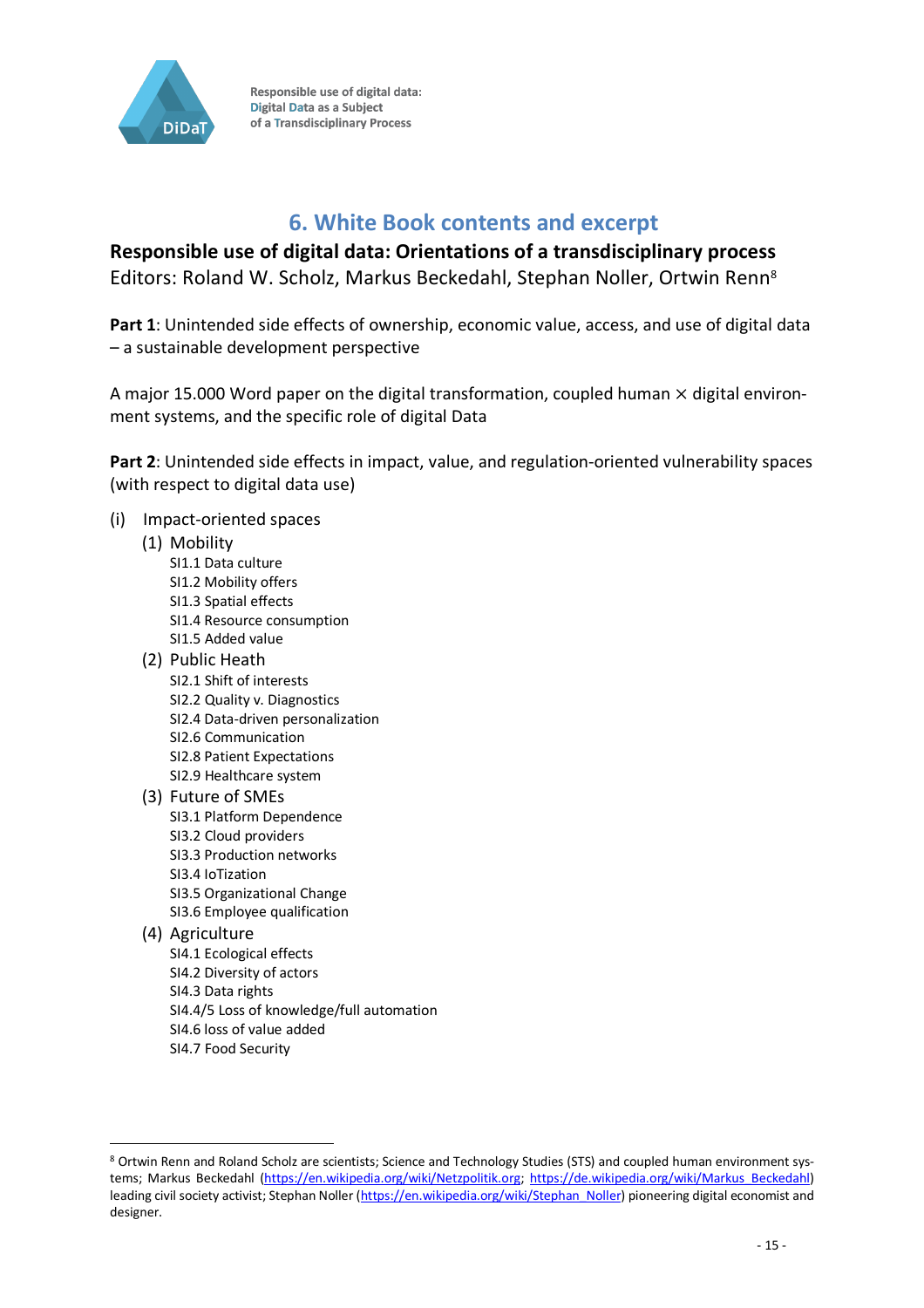

## **6. White Book contents and excerpt**

**Responsible use of digital data: Orientations of a transdisciplinary process** Editors: Roland W. Scholz, Markus Beckedahl, Stephan Noller, Ortwin Renn8

**Part 1**: Unintended side effects of ownership, economic value, access, and use of digital data – a sustainable development perspective

A major 15.000 Word paper on the digital transformation, coupled human  $\times$  digital environment systems, and the specific role of digital Data

**Part 2**: Unintended side effects in impact, value, and regulation-oriented vulnerability spaces (with respect to digital data use)

- (i) Impact-oriented spaces
	- (1) Mobility
		- SI1.1 Data culture SI1.2 Mobility offers SI1.3 Spatial effects SI1.4 Resource consumption SI1.5 Added value
	- (2) Public Heath SI2.1 Shift of interests SI2.2 Quality v. Diagnostics SI2.4 Data-driven personalization SI2.6 Communication SI2.8 Patient Expectations SI2.9 Healthcare system
	- (3) Future of SMEs SI3.1 Platform Dependence SI3.2 Cloud providers SI3.3 Production networks SI3.4 IoTization SI3.5 Organizational Change SI3.6 Employee qualification
	- (4) Agriculture

 $\overline{a}$ 

- SI4.1 Ecological effects SI4.2 Diversity of actors SI4.3 Data rights SI4.4/5 Loss of knowledge/full automation SI4.6 loss of value added
- SI4.7 Food Security

<sup>8</sup> Ortwin Renn and Roland Scholz are scientists; Science and Technology Studies (STS) and coupled human environment systems; Markus Beckedahl (https://en.wikipedia.org/wiki/Netzpolitik.org; https://de.wikipedia.org/wiki/Markus\_Beckedahl) leading civil society activist; Stephan Noller (https://en.wikipedia.org/wiki/Stephan\_Noller) pioneering digital economist and designer.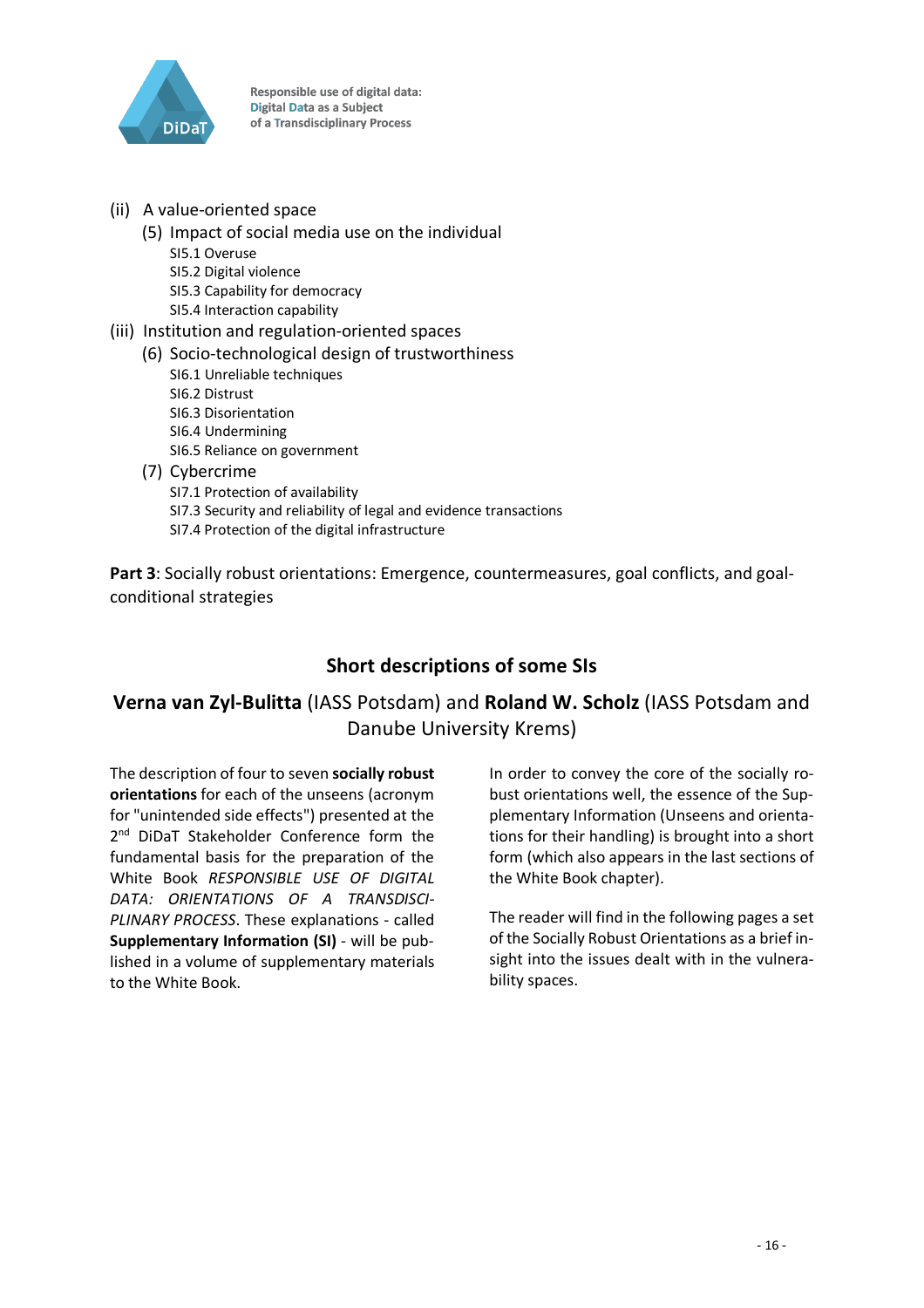

- (ii) A value-oriented space
	- (5) Impact of social media use on the individual SI5.1 Overuse SI5.2 Digital violence SI5.3 Capability for democracy SI5.4 Interaction capability
- (iii) Institution and regulation-oriented spaces (6) Socio-technological design of trustworthiness SI6.1 Unreliable techniques SI6.2 Distrust
	- SI6.3 Disorientation SI6.4 Undermining SI6.5 Reliance on government
	- (7) Cybercrime SI7.1 Protection of availability SI7.3 Security and reliability of legal and evidence transactions SI7.4 Protection of the digital infrastructure

**Part 3**: Socially robust orientations: Emergence, countermeasures, goal conflicts, and goalconditional strategies

### **Short descriptions of some SIs**

### **Verna van Zyl-Bulitta** (IASS Potsdam) and **Roland W. Scholz** (IASS Potsdam and Danube University Krems)

The description of four to seven **socially robust orientations** for each of the unseens (acronym for "unintended side effects") presented at the 2<sup>nd</sup> DiDaT Stakeholder Conference form the fundamental basis for the preparation of the White Book *RESPONSIBLE USE OF DIGITAL DATA: ORIENTATIONS OF A TRANSDISCI-PLINARY PROCESS*. These explanations - called **Supplementary Information (SI)** - will be published in a volume of supplementary materials to the White Book.

In order to convey the core of the socially robust orientations well, the essence of the Supplementary Information (Unseens and orientations for their handling) is brought into a short form (which also appears in the last sections of the White Book chapter).

The reader will find in the following pages a set of the Socially Robust Orientations as a brief insight into the issues dealt with in the vulnerability spaces.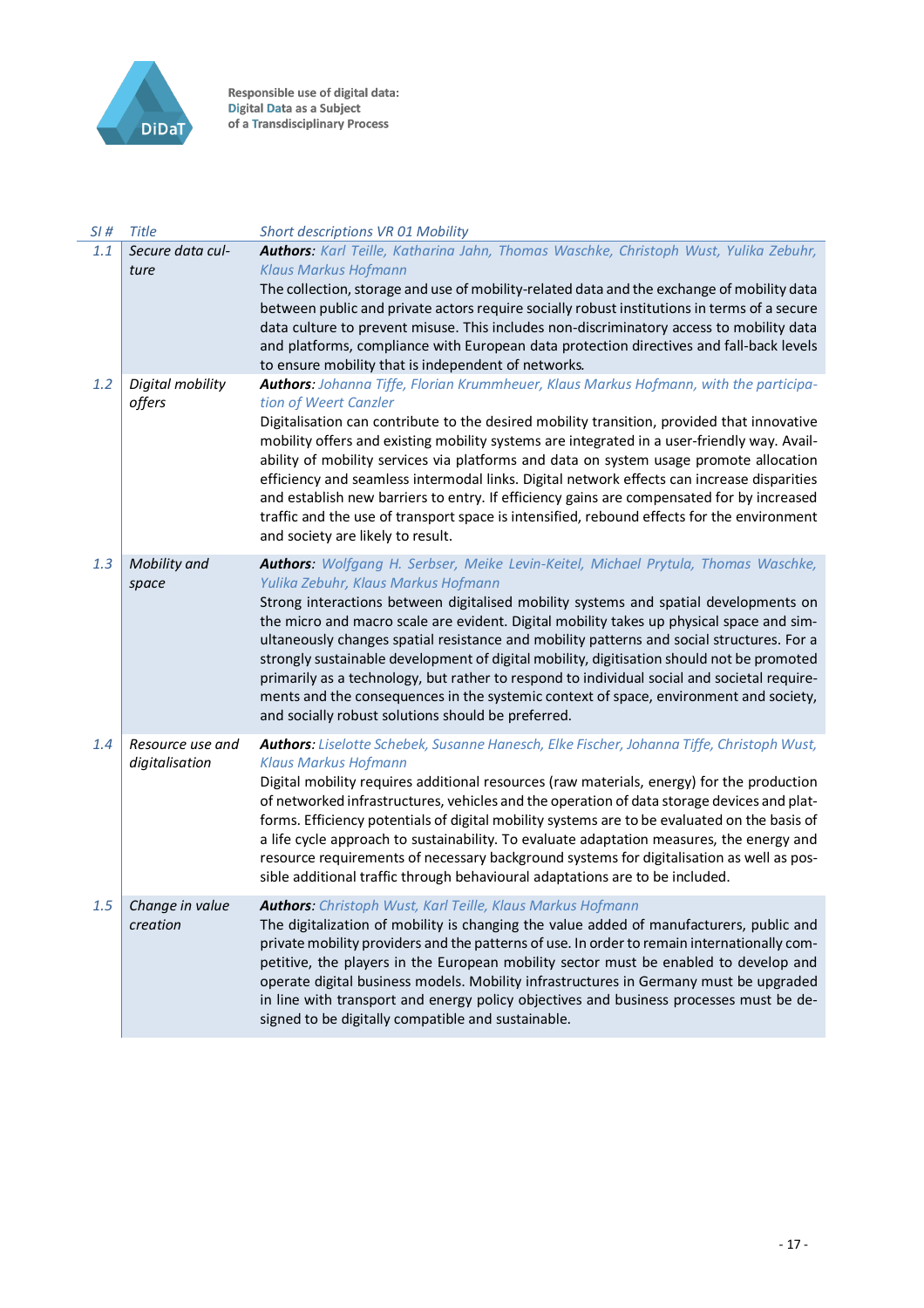

| SI# | <b>Title</b>                       | <b>Short descriptions VR 01 Mobility</b>                                                                                                                                                                                                                                                                                                                                                                                                                                                                                                                                                                                                                                                                                                              |
|-----|------------------------------------|-------------------------------------------------------------------------------------------------------------------------------------------------------------------------------------------------------------------------------------------------------------------------------------------------------------------------------------------------------------------------------------------------------------------------------------------------------------------------------------------------------------------------------------------------------------------------------------------------------------------------------------------------------------------------------------------------------------------------------------------------------|
| 1.1 | Secure data cul-<br>ture           | Authors: Karl Teille, Katharina Jahn, Thomas Waschke, Christoph Wust, Yulika Zebuhr,<br><b>Klaus Markus Hofmann</b>                                                                                                                                                                                                                                                                                                                                                                                                                                                                                                                                                                                                                                   |
|     |                                    | The collection, storage and use of mobility-related data and the exchange of mobility data<br>between public and private actors require socially robust institutions in terms of a secure<br>data culture to prevent misuse. This includes non-discriminatory access to mobility data<br>and platforms, compliance with European data protection directives and fall-back levels<br>to ensure mobility that is independent of networks.                                                                                                                                                                                                                                                                                                               |
| 1.2 | Digital mobility<br>offers         | Authors: Johanna Tiffe, Florian Krummheuer, Klaus Markus Hofmann, with the participa-<br>tion of Weert Canzler<br>Digitalisation can contribute to the desired mobility transition, provided that innovative<br>mobility offers and existing mobility systems are integrated in a user-friendly way. Avail-<br>ability of mobility services via platforms and data on system usage promote allocation<br>efficiency and seamless intermodal links. Digital network effects can increase disparities<br>and establish new barriers to entry. If efficiency gains are compensated for by increased<br>traffic and the use of transport space is intensified, rebound effects for the environment<br>and society are likely to result.                   |
| 1.3 | Mobility and<br>space              | Authors: Wolfgang H. Serbser, Meike Levin-Keitel, Michael Prytula, Thomas Waschke,<br>Yulika Zebuhr, Klaus Markus Hofmann<br>Strong interactions between digitalised mobility systems and spatial developments on<br>the micro and macro scale are evident. Digital mobility takes up physical space and sim-<br>ultaneously changes spatial resistance and mobility patterns and social structures. For a<br>strongly sustainable development of digital mobility, digitisation should not be promoted<br>primarily as a technology, but rather to respond to individual social and societal require-<br>ments and the consequences in the systemic context of space, environment and society,<br>and socially robust solutions should be preferred. |
| 1.4 | Resource use and<br>digitalisation | Authors: Liselotte Schebek, Susanne Hanesch, Elke Fischer, Johanna Tiffe, Christoph Wust,<br><b>Klaus Markus Hofmann</b><br>Digital mobility requires additional resources (raw materials, energy) for the production<br>of networked infrastructures, vehicles and the operation of data storage devices and plat-<br>forms. Efficiency potentials of digital mobility systems are to be evaluated on the basis of<br>a life cycle approach to sustainability. To evaluate adaptation measures, the energy and<br>resource requirements of necessary background systems for digitalisation as well as pos-<br>sible additional traffic through behavioural adaptations are to be included.                                                           |
| 1.5 | Change in value<br>creation        | <b>Authors:</b> Christoph Wust, Karl Teille, Klaus Markus Hofmann<br>The digitalization of mobility is changing the value added of manufacturers, public and<br>private mobility providers and the patterns of use. In order to remain internationally com-<br>petitive, the players in the European mobility sector must be enabled to develop and<br>operate digital business models. Mobility infrastructures in Germany must be upgraded<br>in line with transport and energy policy objectives and business processes must be de-<br>signed to be digitally compatible and sustainable.                                                                                                                                                          |
|     |                                    |                                                                                                                                                                                                                                                                                                                                                                                                                                                                                                                                                                                                                                                                                                                                                       |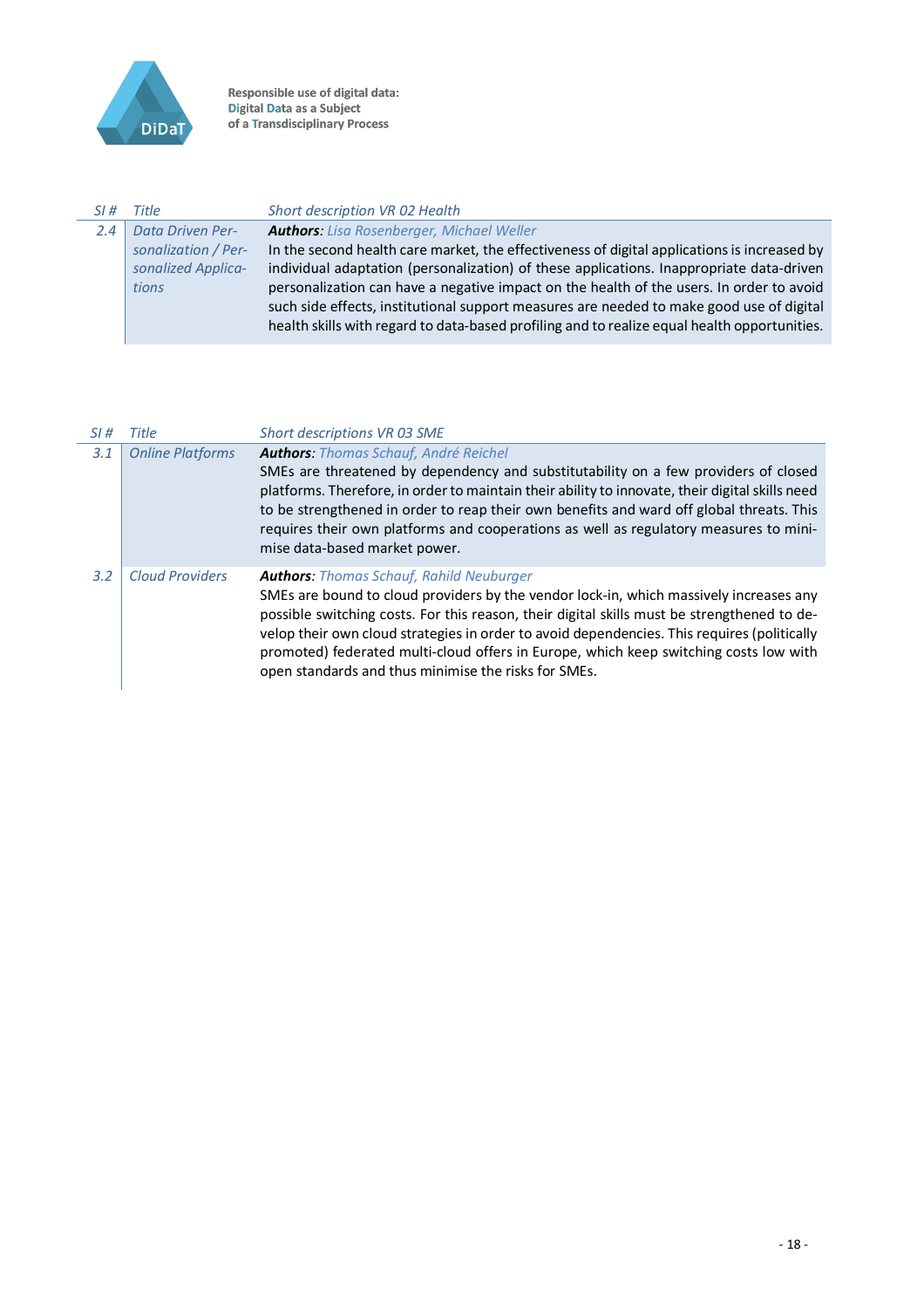

 $\overline{a}$ 

Responsible use of digital data:<br>Digital Data as a Subject<br>of a Transdisciplinary Process

| SI# | Title                   | Short description VR 02 Health                                                               |
|-----|-------------------------|----------------------------------------------------------------------------------------------|
| 2.4 | <b>Data Driven Per-</b> | <b>Authors:</b> Lisa Rosenberger, Michael Weller                                             |
|     | sonalization / Per-     | In the second health care market, the effectiveness of digital applications is increased by  |
|     | sonalized Applica-      | individual adaptation (personalization) of these applications. Inappropriate data-driven     |
|     | tions                   | personalization can have a negative impact on the health of the users. In order to avoid     |
|     |                         | such side effects, institutional support measures are needed to make good use of digital     |
|     |                         | health skills with regard to data-based profiling and to realize equal health opportunities. |
|     |                         |                                                                                              |

| SI# | Title                   | Short descriptions VR 03 SME                                                                                                                                                                                                                                                                                                                                                                                                                                                             |
|-----|-------------------------|------------------------------------------------------------------------------------------------------------------------------------------------------------------------------------------------------------------------------------------------------------------------------------------------------------------------------------------------------------------------------------------------------------------------------------------------------------------------------------------|
| 3.1 | <b>Online Platforms</b> | <b>Authors: Thomas Schauf, André Reichel</b><br>SMEs are threatened by dependency and substitutability on a few providers of closed<br>platforms. Therefore, in order to maintain their ability to innovate, their digital skills need<br>to be strengthened in order to reap their own benefits and ward off global threats. This<br>requires their own platforms and cooperations as well as regulatory measures to mini-<br>mise data-based market power.                             |
| 3.2 | <b>Cloud Providers</b>  | <b>Authors: Thomas Schauf, Rahild Neuburger</b><br>SMEs are bound to cloud providers by the vendor lock-in, which massively increases any<br>possible switching costs. For this reason, their digital skills must be strengthened to de-<br>velop their own cloud strategies in order to avoid dependencies. This requires (politically<br>promoted) federated multi-cloud offers in Europe, which keep switching costs low with<br>open standards and thus minimise the risks for SMEs. |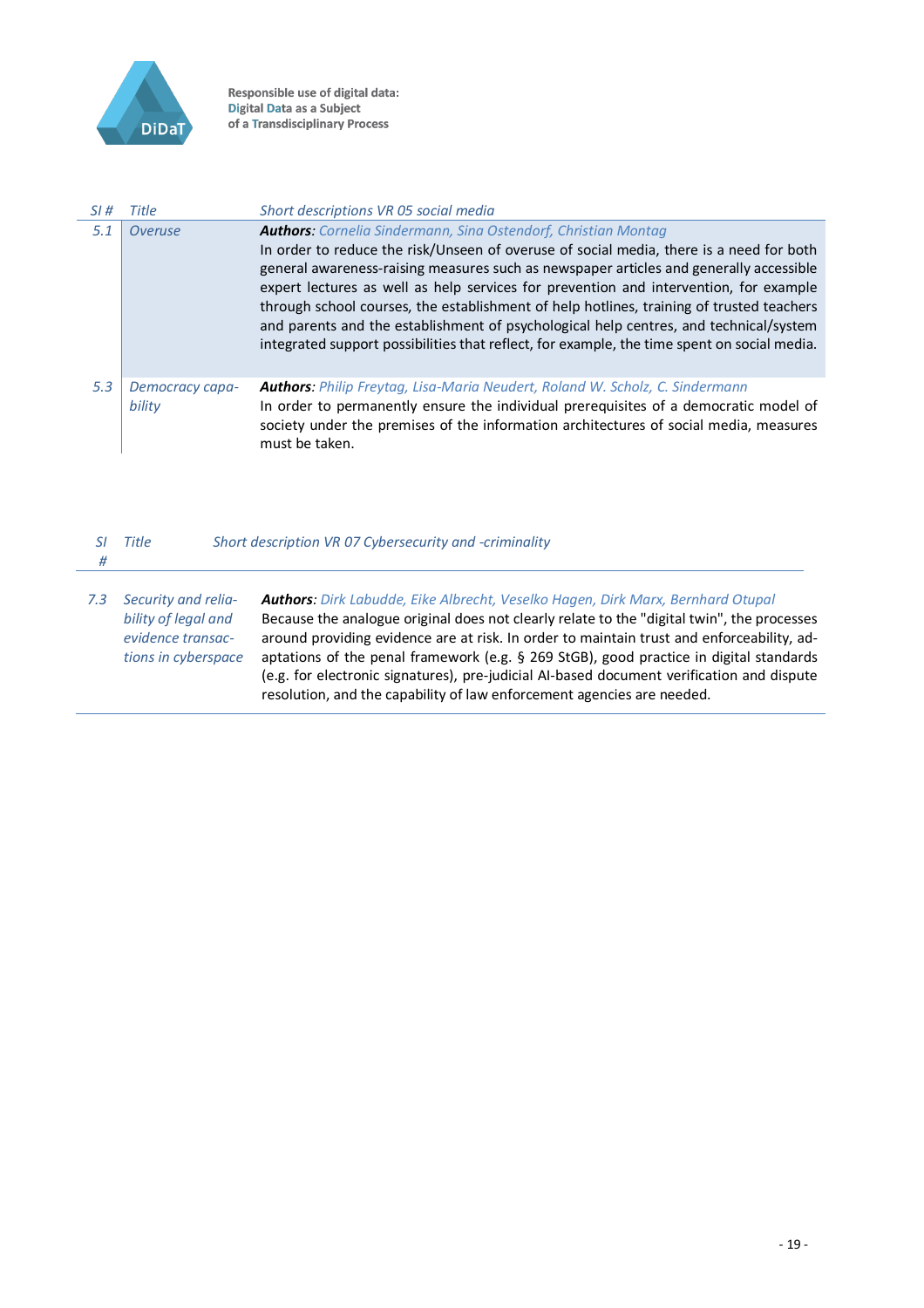

J.

Responsible use of digital data:<br>Digital Data as a Subject<br>of a Transdisciplinary Process

| SI# | Title                     | Short descriptions VR 05 social media                                                                                                                                                                                                                                                                                                                                                                                                                                                                                                                                                                                                   |
|-----|---------------------------|-----------------------------------------------------------------------------------------------------------------------------------------------------------------------------------------------------------------------------------------------------------------------------------------------------------------------------------------------------------------------------------------------------------------------------------------------------------------------------------------------------------------------------------------------------------------------------------------------------------------------------------------|
| 5.1 | Overuse                   | <b>Authors:</b> Cornelia Sindermann, Sina Ostendorf, Christian Montag<br>In order to reduce the risk/Unseen of overuse of social media, there is a need for both<br>general awareness-raising measures such as newspaper articles and generally accessible<br>expert lectures as well as help services for prevention and intervention, for example<br>through school courses, the establishment of help hotlines, training of trusted teachers<br>and parents and the establishment of psychological help centres, and technical/system<br>integrated support possibilities that reflect, for example, the time spent on social media. |
| 5.3 | Democracy capa-<br>bility | <b>Authors:</b> Philip Freytag, Lisa-Maria Neudert, Roland W. Scholz, C. Sindermann<br>In order to permanently ensure the individual prerequisites of a democratic model of<br>society under the premises of the information architectures of social media, measures<br>must be taken.                                                                                                                                                                                                                                                                                                                                                  |

| #   | Title                                                                                  | Short description VR 07 Cybersecurity and -criminality                                                                                                                                                                                                                                                                                                                                                                                                                                                                                      |
|-----|----------------------------------------------------------------------------------------|---------------------------------------------------------------------------------------------------------------------------------------------------------------------------------------------------------------------------------------------------------------------------------------------------------------------------------------------------------------------------------------------------------------------------------------------------------------------------------------------------------------------------------------------|
| 7.3 | Security and relia-<br>bility of legal and<br>evidence transac-<br>tions in cyberspace | Authors: Dirk Labudde, Eike Albrecht, Veselko Hagen, Dirk Marx, Bernhard Otupal<br>Because the analogue original does not clearly relate to the "digital twin", the processes<br>around providing evidence are at risk. In order to maintain trust and enforceability, ad-<br>aptations of the penal framework (e.g. § 269 StGB), good practice in digital standards<br>(e.g. for electronic signatures), pre-judicial Al-based document verification and dispute<br>resolution, and the capability of law enforcement agencies are needed. |